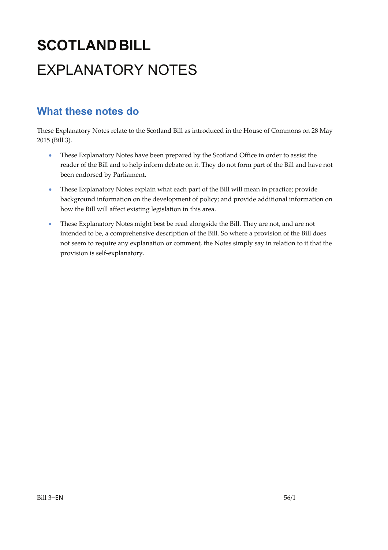# **SCOTLANDBILL** EXPLANATORY NOTES

## **What these notes do**

- These Explanatory Notes have been prepared by the Scotland Office in order to assist the reader of the Bill and to help inform debate on it. They do not form part of the Bill and have not been endorsed by Parliament.
- These Explanatory Notes explain what each part of the Bill will mean in practice; provide background information on the development of policy; and provide additional information on how the Bill will affect existing legislation in this area.
- These Explanatory Notes might best be read alongside the Bill. They are not, and are not intended to be, a comprehensive description of the Bill. So where a provision of the Bill does not seem to require any explanation or comment, the Notes simply say in relation to it that the provision is self‐explanatory.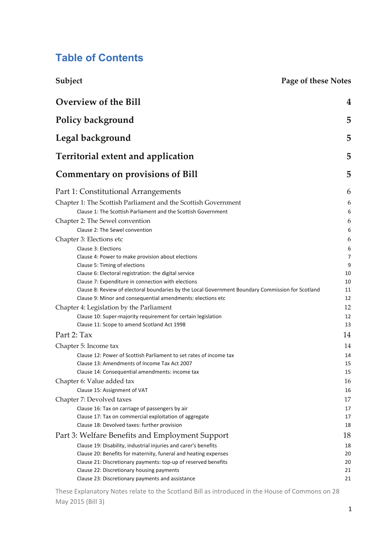## **Table of Contents**

| Subject | Page of these Notes |
|---------|---------------------|
|         |                     |

| Overview of the Bill<br>Policy background<br>Legal background                                                                                                    |          |                                           |   |
|------------------------------------------------------------------------------------------------------------------------------------------------------------------|----------|-------------------------------------------|---|
|                                                                                                                                                                  |          | <b>Territorial extent and application</b> | 5 |
|                                                                                                                                                                  |          | <b>Commentary on provisions of Bill</b>   | 5 |
| Part 1: Constitutional Arrangements                                                                                                                              | 6        |                                           |   |
| Chapter 1: The Scottish Parliament and the Scottish Government                                                                                                   | 6        |                                           |   |
| Clause 1: The Scottish Parliament and the Scottish Government                                                                                                    | 6        |                                           |   |
| Chapter 2: The Sewel convention                                                                                                                                  | 6        |                                           |   |
| Clause 2: The Sewel convention                                                                                                                                   | 6        |                                           |   |
| Chapter 3: Elections etc                                                                                                                                         | 6        |                                           |   |
| Clause 3: Elections                                                                                                                                              | 6        |                                           |   |
| Clause 4: Power to make provision about elections                                                                                                                | 7        |                                           |   |
| Clause 5: Timing of elections                                                                                                                                    | 9        |                                           |   |
| Clause 6: Electoral registration: the digital service                                                                                                            | 10       |                                           |   |
| Clause 7: Expenditure in connection with elections                                                                                                               | 10       |                                           |   |
| Clause 8: Review of electoral boundaries by the Local Government Boundary Commission for Scotland<br>Clause 9: Minor and consequential amendments: elections etc | 11<br>12 |                                           |   |
|                                                                                                                                                                  | 12       |                                           |   |
| Chapter 4: Legislation by the Parliament<br>Clause 10: Super-majority requirement for certain legislation                                                        | 12       |                                           |   |
| Clause 11: Scope to amend Scotland Act 1998                                                                                                                      | 13       |                                           |   |
| Part 2: Tax                                                                                                                                                      | 14       |                                           |   |
|                                                                                                                                                                  |          |                                           |   |
| Chapter 5: Income tax                                                                                                                                            | 14       |                                           |   |
| Clause 12: Power of Scottish Parliament to set rates of income tax                                                                                               | 14       |                                           |   |
| Clause 13: Amendments of Income Tax Act 2007<br>Clause 14: Consequential amendments: income tax                                                                  | 15<br>15 |                                           |   |
|                                                                                                                                                                  |          |                                           |   |
| Chapter 6: Value added tax<br>Clause 15: Assignment of VAT                                                                                                       | 16<br>16 |                                           |   |
|                                                                                                                                                                  | 17       |                                           |   |
| Chapter 7: Devolved taxes                                                                                                                                        |          |                                           |   |
| Clause 16: Tax on carriage of passengers by air<br>Clause 17: Tax on commercial exploitation of aggregate                                                        | 17<br>17 |                                           |   |
| Clause 18: Devolved taxes: further provision                                                                                                                     | 18       |                                           |   |
| Part 3: Welfare Benefits and Employment Support                                                                                                                  | 18       |                                           |   |
|                                                                                                                                                                  |          |                                           |   |
| Clause 19: Disability, industrial injuries and carer's benefits<br>Clause 20: Benefits for maternity, funeral and heating expenses                               | 18<br>20 |                                           |   |
| Clause 21: Discretionary payments: top-up of reserved benefits                                                                                                   | 20       |                                           |   |
| Clause 22: Discretionary housing payments                                                                                                                        | 21       |                                           |   |
| Clause 23: Discretionary payments and assistance                                                                                                                 | 21       |                                           |   |
|                                                                                                                                                                  |          |                                           |   |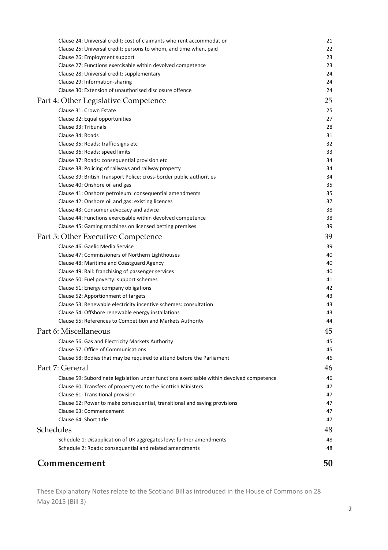| Clause 26: Employment support                                                                                    | 23       |
|------------------------------------------------------------------------------------------------------------------|----------|
| Clause 27: Functions exercisable within devolved competence                                                      | 23       |
| Clause 28: Universal credit: supplementary                                                                       | 24       |
| Clause 29: Information-sharing                                                                                   | 24       |
| Clause 30: Extension of unauthorised disclosure offence                                                          | 24       |
| Part 4: Other Legislative Competence                                                                             | 25       |
| Clause 31: Crown Estate                                                                                          | 25       |
| Clause 32: Equal opportunities                                                                                   | 27       |
| Clause 33: Tribunals                                                                                             | 28       |
| Clause 34: Roads                                                                                                 | 31       |
| Clause 35: Roads: traffic signs etc<br>Clause 36: Roads: speed limits                                            | 32<br>33 |
| Clause 37: Roads: consequential provision etc                                                                    | 34       |
| Clause 38: Policing of railways and railway property                                                             | 34       |
| Clause 39: British Transport Police: cross-border public authorities                                             | 34       |
| Clause 40: Onshore oil and gas                                                                                   | 35       |
| Clause 41: Onshore petroleum: consequential amendments                                                           | 35       |
| Clause 42: Onshore oil and gas: existing licences                                                                | 37       |
| Clause 43: Consumer advocacy and advice                                                                          | 38       |
| Clause 44: Functions exercisable within devolved competence                                                      | 38       |
| Clause 45: Gaming machines on licensed betting premises                                                          | 39       |
| Part 5: Other Executive Competence                                                                               | 39       |
| Clause 46: Gaelic Media Service                                                                                  | 39       |
| Clause 47: Commissioners of Northern Lighthouses                                                                 | 40       |
| Clause 48: Maritime and Coastguard Agency                                                                        | 40       |
| Clause 49: Rail: franchising of passenger services                                                               | 40       |
| Clause 50: Fuel poverty: support schemes                                                                         | 41       |
| Clause 51: Energy company obligations                                                                            | 42       |
| Clause 52: Apportionment of targets                                                                              | 43       |
| Clause 53: Renewable electricity incentive schemes: consultation                                                 | 43       |
| Clause 54: Offshore renewable energy installations<br>Clause 55: References to Competition and Markets Authority | 43<br>44 |
| Part 6: Miscellaneous                                                                                            | 45       |
|                                                                                                                  |          |
| Clause 56: Gas and Electricity Markets Authority                                                                 | 45       |
| Clause 57: Office of Communications<br>Clause 58: Bodies that may be required to attend before the Parliament    | 45<br>46 |
|                                                                                                                  |          |
| Part 7: General                                                                                                  | 46       |
| Clause 59: Subordinate legislation under functions exercisable within devolved competence                        | 46       |
| Clause 60: Transfers of property etc to the Scottish Ministers                                                   | 47       |
| Clause 61: Transitional provision                                                                                | 47<br>47 |
| Clause 62: Power to make consequential, transitional and saving provisions<br>Clause 63: Commencement            | 47       |
| Clause 64: Short title                                                                                           | 47       |
|                                                                                                                  |          |
| Schedules                                                                                                        | 48       |
| Schedule 1: Disapplication of UK aggregates levy: further amendments                                             | 48       |
| Schedule 2: Roads: consequential and related amendments                                                          | 48       |
| Commencement                                                                                                     | 50       |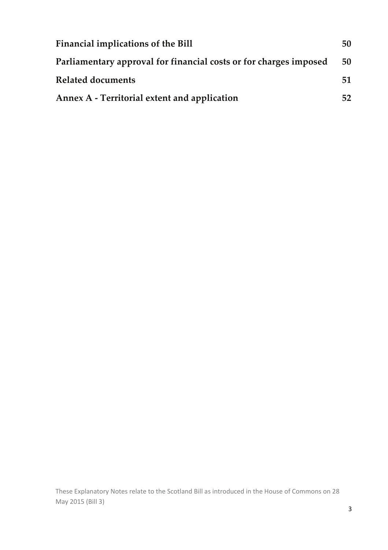| <b>Financial implications of the Bill</b>                         |    |
|-------------------------------------------------------------------|----|
| Parliamentary approval for financial costs or for charges imposed |    |
| <b>Related documents</b>                                          | 51 |
| Annex A - Territorial extent and application                      |    |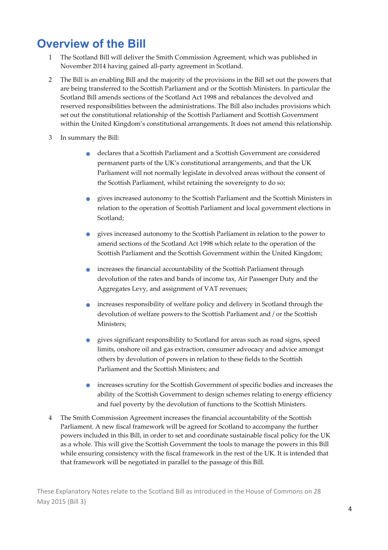## **Overview of the Bill**

- 1 The Scotland Bill will deliver the Smith Commission Agreement, which was published in November 2014 having gained all‐party agreement in Scotland.
- 2 The Bill is an enabling Bill and the majority of the provisions in the Bill set out the powers that are being transferred to the Scottish Parliament and or the Scottish Ministers. In particular the Scotland Bill amends sections of the Scotland Act 1998 and rebalances the devolved and reserved responsibilities between the administrations. The Bill also includes provisions which set out the constitutional relationship of the Scottish Parliament and Scottish Government within the United Kingdom's constitutional arrangements. It does not amend this relationship.
- 3 In summary the Bill:
	- declares that <sup>a</sup> Scottish Parliament and <sup>a</sup> Scottish Government are considered permanent parts of the UK's constitutional arrangements, and that the UK Parliament will not normally legislate in devolved areas without the consent of the Scottish Parliament, whilst retaining the sovereignty to do so;
	- gives increased autonomy to the Scottish Parliament and the Scottish Ministers in relation to the operation of Scottish Parliament and local government elections in Scotland;
	- gives increased autonomy to the Scottish Parliament in relation to the power to amend sections of the Scotland Act 1998 which relate to the operation of the Scottish Parliament and the Scottish Government within the United Kingdom;
	- increases the financial accountability of the Scottish Parliament through devolution of the rates and bands of income tax, Air Passenger Duty and the Aggregates Levy, and assignment of VAT revenues;
	- increases responsibility of welfare policy and delivery in Scotland through the devolution of welfare powers to the Scottish Parliament and / or the Scottish Ministers;
	- gives significant responsibility to Scotland for areas such as road signs, speed limits, onshore oil and gas extraction, consumer advocacy and advice amongst others by devolution of powers in relation to these fields to the Scottish Parliament and the Scottish Ministers; and
	- increases scrutiny for the Scottish Government of specific bodies and increases the ability of the Scottish Government to design schemes relating to energy efficiency and fuel poverty by the devolution of functions to the Scottish Ministers.
- 4 The Smith Commission Agreement increases the financial accountability of the Scottish Parliament. A new fiscal framework will be agreed for Scotland to accompany the further powers included in this Bill, in order to set and coordinate sustainable fiscal policy for the UK as a whole. This will give the Scottish Government the tools to manage the powers in this Bill while ensuring consistency with the fiscal framework in the rest of the UK. It is intended that that framework will be negotiated in parallel to the passage of this Bill.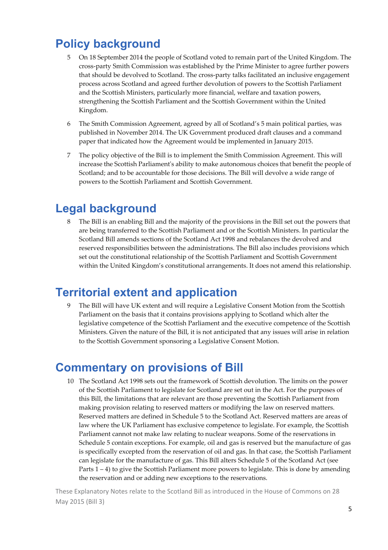## **Policy background**

- 5 On 18 September 2014 the people of Scotland voted to remain part of the United Kingdom. The cross‐party Smith Commission was established by the Prime Minister to agree further powers that should be devolved to Scotland. The cross‐party talks facilitated an inclusive engagement process across Scotland and agreed further devolution of powers to the Scottish Parliament and the Scottish Ministers, particularly more financial, welfare and taxation powers, strengthening the Scottish Parliament and the Scottish Government within the United Kingdom.
- 6 The Smith Commission Agreement, agreed by all of Scotland's 5 main political parties, was published in November 2014. The UK Government produced draft clauses and a command paper that indicated how the Agreement would be implemented in January 2015.
- 7 The policy objective of the Bill is to implement the Smith Commission Agreement. This will increase the Scottish Parliamentʹs ability to make autonomous choices that benefit the people of Scotland; and to be accountable for those decisions. The Bill will devolve a wide range of powers to the Scottish Parliament and Scottish Government.

## **Legal background**

8 The Bill is an enabling Bill and the majority of the provisions in the Bill set out the powers that are being transferred to the Scottish Parliament and or the Scottish Ministers. In particular the Scotland Bill amends sections of the Scotland Act 1998 and rebalances the devolved and reserved responsibilities between the administrations. The Bill also includes provisions which set out the constitutional relationship of the Scottish Parliament and Scottish Government within the United Kingdom's constitutional arrangements. It does not amend this relationship.

## **Territorial extent and application**

9 The Bill will have UK extent and will require a Legislative Consent Motion from the Scottish Parliament on the basis that it contains provisions applying to Scotland which alter the legislative competence of the Scottish Parliament and the executive competence of the Scottish Ministers. Given the nature of the Bill, it is not anticipated that any issues will arise in relation to the Scottish Government sponsoring a Legislative Consent Motion.

## **Commentary on provisions of Bill**

10 The Scotland Act 1998 sets out the framework of Scottish devolution. The limits on the power of the Scottish Parliament to legislate for Scotland are set out in the Act. For the purposes of this Bill, the limitations that are relevant are those preventing the Scottish Parliament from making provision relating to reserved matters or modifying the law on reserved matters. Reserved matters are defined in Schedule 5 to the Scotland Act. Reserved matters are areas of law where the UK Parliament has exclusive competence to legislate. For example, the Scottish Parliament cannot not make law relating to nuclear weapons. Some of the reservations in Schedule 5 contain exceptions. For example, oil and gas is reserved but the manufacture of gas is specifically excepted from the reservation of oil and gas. In that case, the Scottish Parliament can legislate for the manufacture of gas. This Bill alters Schedule 5 of the Scotland Act (see Parts  $1 - 4$ ) to give the Scottish Parliament more powers to legislate. This is done by amending the reservation and or adding new exceptions to the reservations.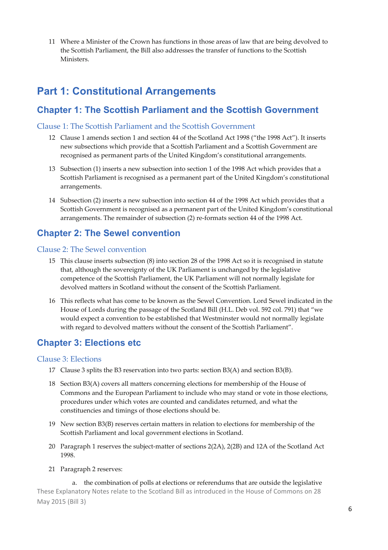11 Where a Minister of the Crown has functions in those areas of law that are being devolved to the Scottish Parliament, the Bill also addresses the transfer of functions to the Scottish Ministers.

### **Part 1: Constitutional Arrangements**

### **Chapter 1: The Scottish Parliament and the Scottish Government**

#### Clause 1: The Scottish Parliament and the Scottish Government

- 12 Clause 1 amends section 1 and section 44 of the Scotland Act 1998 ("the 1998 Act"). It inserts new subsections which provide that a Scottish Parliament and a Scottish Government are recognised as permanent parts of the United Kingdom's constitutional arrangements.
- 13 Subsection (1) inserts a new subsection into section 1 of the 1998 Act which provides that a Scottish Parliament is recognised as a permanent part of the United Kingdom's constitutional arrangements.
- 14 Subsection (2) inserts a new subsection into section 44 of the 1998 Act which provides that a Scottish Government is recognised as a permanent part of the United Kingdom's constitutional arrangements. The remainder of subsection (2) re‐formats section 44 of the 1998 Act.

### **Chapter 2: The Sewel convention**

#### Clause 2: The Sewel convention

- 15 This clause inserts subsection (8) into section 28 of the 1998 Act so it is recognised in statute that, although the sovereignty of the UK Parliament is unchanged by the legislative competence of the Scottish Parliament, the UK Parliament will not normally legislate for devolved matters in Scotland without the consent of the Scottish Parliament.
- 16 This reflects what has come to be known as the Sewel Convention. Lord Sewel indicated in the House of Lords during the passage of the Scotland Bill (H.L. Deb vol. 592 col. 791) that "we would expect a convention to be established that Westminster would not normally legislate with regard to devolved matters without the consent of the Scottish Parliament".

### **Chapter 3: Elections etc**

#### Clause 3: Elections

- 17 Clause 3 splits the B3 reservation into two parts: section B3(A) and section B3(B).
- 18 Section B3(A) covers all matters concerning elections for membership of the House of Commons and the European Parliament to include who may stand or vote in those elections, procedures under which votes are counted and candidates returned, and what the constituencies and timings of those elections should be.
- 19 New section B3(B) reserves certain matters in relation to elections for membership of the Scottish Parliament and local government elections in Scotland.
- 20 Paragraph 1 reserves the subject-matter of sections 2(2A), 2(2B) and 12A of the Scotland Act 1998.
- 21 Paragraph 2 reserves:

These Explanatory Notes relate to the Scotland Bill as introduced in the House of Commons on 28 May 2015 (Bill 3) a. the combination of polls at elections or referendums that are outside the legislative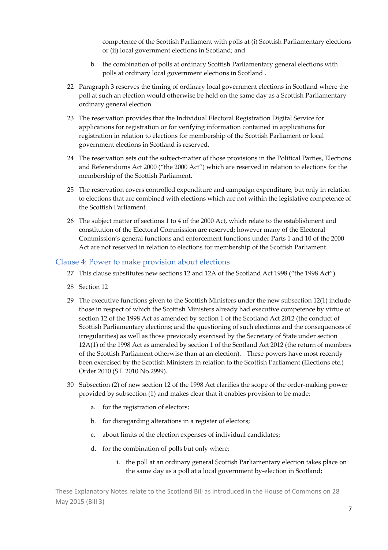competence of the Scottish Parliament with polls at (i) Scottish Parliamentary elections or (ii) local government elections in Scotland; and

- b. the combination of polls at ordinary Scottish Parliamentary general elections with polls at ordinary local government elections in Scotland .
- 22 Paragraph 3 reserves the timing of ordinary local government elections in Scotland where the poll at such an election would otherwise be held on the same day as a Scottish Parliamentary ordinary general election.
- 23 The reservation provides that the Individual Electoral Registration Digital Service for applications for registration or for verifying information contained in applications for registration in relation to elections for membership of the Scottish Parliament or local government elections in Scotland is reserved.
- 24 The reservation sets out the subject-matter of those provisions in the Political Parties, Elections and Referendums Act 2000 ("the 2000 Act") which are reserved in relation to elections for the membership of the Scottish Parliament.
- 25 The reservation covers controlled expenditure and campaign expenditure, but only in relation to elections that are combined with elections which are not within the legislative competence of the Scottish Parliament.
- 26 The subject matter of sections 1 to 4 of the 2000 Act, which relate to the establishment and constitution of the Electoral Commission are reserved; however many of the Electoral Commission's general functions and enforcement functions under Parts 1 and 10 of the 2000 Act are not reserved in relation to elections for membership of the Scottish Parliament.

#### Clause 4: Power to make provision about elections

- 27 This clause substitutes new sections 12 and 12A of the Scotland Act 1998 ("the 1998 Act").
- 28 Section 12
- 29 The executive functions given to the Scottish Ministers under the new subsection 12(1) include those in respect of which the Scottish Ministers already had executive competence by virtue of section 12 of the 1998 Act as amended by section 1 of the Scotland Act 2012 (the conduct of Scottish Parliamentary elections; and the questioning of such elections and the consequences of irregularities) as well as those previously exercised by the Secretary of State under section 12A(1) of the 1998 Act as amended by section 1 of the Scotland Act 2012 (the return of members of the Scottish Parliament otherwise than at an election). These powers have most recently been exercised by the Scottish Ministers in relation to the Scottish Parliament (Elections etc.) Order 2010 (S.I. 2010 No.2999).
- 30 Subsection (2) of new section 12 of the 1998 Act clarifies the scope of the order‐making power provided by subsection (1) and makes clear that it enables provision to be made:
	- a. for the registration of electors;
	- b. for disregarding alterations in a register of electors;
	- c. about limits of the election expenses of individual candidates;
	- d. for the combination of polls but only where:
		- i. the poll at an ordinary general Scottish Parliamentary election takes place on the same day as a poll at a local government by‐election in Scotland;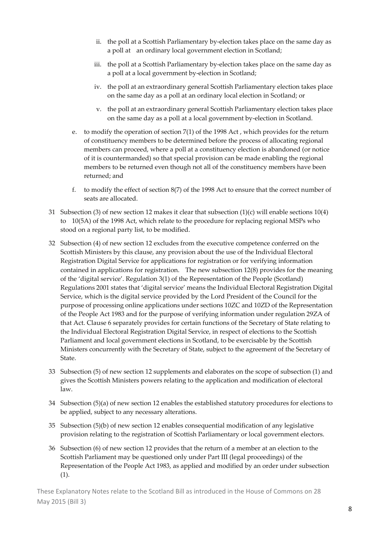- ii. the poll at a Scottish Parliamentary by-election takes place on the same day as a poll at an ordinary local government election in Scotland;
- iii. the poll at a Scottish Parliamentary by-election takes place on the same day as a poll at a local government by‐election in Scotland;
- iv. the poll at an extraordinary general Scottish Parliamentary election takes place on the same day as a poll at an ordinary local election in Scotland; or
- v. the poll at an extraordinary general Scottish Parliamentary election takes place on the same day as a poll at a local government by‐election in Scotland.
- e. to modify the operation of section 7(1) of the 1998 Act , which provides for the return of constituency members to be determined before the process of allocating regional members can proceed, where a poll at a constituency election is abandoned (or notice of it is countermanded) so that special provision can be made enabling the regional members to be returned even though not all of the constituency members have been returned; and
- f. to modify the effect of section 8(7) of the 1998 Act to ensure that the correct number of seats are allocated.
- 31 Subsection (3) of new section 12 makes it clear that subsection (1)(c) will enable sections 10(4) to 10(5A) of the 1998 Act, which relate to the procedure for replacing regional MSPs who stood on a regional party list, to be modified.
- 32 Subsection (4) of new section 12 excludes from the executive competence conferred on the Scottish Ministers by this clause, any provision about the use of the Individual Electoral Registration Digital Service for applications for registration or for verifying information contained in applications for registration. The new subsection 12(8) provides for the meaning of the 'digital service'. Regulation 3(1) of the Representation of the People (Scotland) Regulations 2001 states that 'digital service' means the Individual Electoral Registration Digital Service, which is the digital service provided by the Lord President of the Council for the purpose of processing online applications under sections 10ZC and 10ZD of the Representation of the People Act 1983 and for the purpose of verifying information under regulation 29ZA of that Act. Clause 6 separately provides for certain functions of the Secretary of State relating to the Individual Electoral Registration Digital Service, in respect of elections to the Scottish Parliament and local government elections in Scotland, to be exercisable by the Scottish Ministers concurrently with the Secretary of State, subject to the agreement of the Secretary of State.
- 33 Subsection (5) of new section 12 supplements and elaborates on the scope of subsection (1) and gives the Scottish Ministers powers relating to the application and modification of electoral law.
- 34 Subsection (5)(a) of new section 12 enables the established statutory procedures for elections to be applied, subject to any necessary alterations.
- 35 Subsection (5)(b) of new section 12 enables consequential modification of any legislative provision relating to the registration of Scottish Parliamentary or local government electors.
- 36 Subsection (6) of new section 12 provides that the return of a member at an election to the Scottish Parliament may be questioned only under Part III (legal proceedings) of the Representation of the People Act 1983, as applied and modified by an order under subsection (1).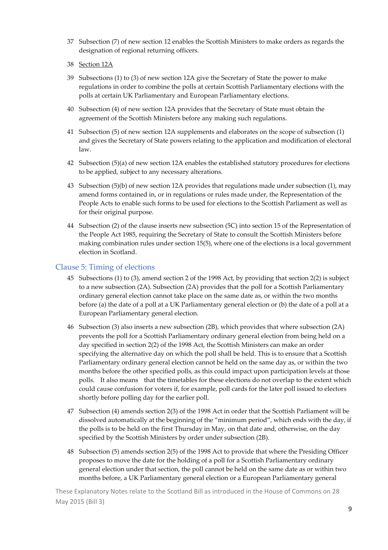- 37 Subsection (7) of new section 12 enables the Scottish Ministers to make orders as regards the designation of regional returning officers.
- 38 Section 12A
- 39 Subsections (1) to (3) of new section 12A give the Secretary of State the power to make regulations in order to combine the polls at certain Scottish Parliamentary elections with the polls at certain UK Parliamentary and European Parliamentary elections.
- 40 Subsection (4) of new section 12A provides that the Secretary of State must obtain the agreement of the Scottish Ministers before any making such regulations.
- 41 Subsection (5) of new section 12A supplements and elaborates on the scope of subsection (1) and gives the Secretary of State powers relating to the application and modification of electoral law.
- 42 Subsection (5)(a) of new section 12A enables the established statutory procedures for elections to be applied, subject to any necessary alterations.
- 43 Subsection (5)(b) of new section 12A provides that regulations made under subsection (1), may amend forms contained in, or in regulations or rules made under, the Representation of the People Acts to enable such forms to be used for elections to the Scottish Parliament as well as for their original purpose.
- 44 Subsection (2) of the clause inserts new subsection (5C) into section 15 of the Representation of the People Act 1985, requiring the Secretary of State to consult the Scottish Ministers before making combination rules under section 15(5), where one of the elections is a local government election in Scotland.

#### Clause 5: Timing of elections

- 45 Subsections (1) to (3), amend section 2 of the 1998 Act, by providing that section 2(2) is subject to a new subsection (2A). Subsection (2A) provides that the poll for a Scottish Parliamentary ordinary general election cannot take place on the same date as, or within the two months before (a) the date of a poll at a UK Parliamentary general election or (b) the date of a poll at a European Parliamentary general election.
- 46 Subsection (3) also inserts a new subsection (2B), which provides that where subsection (2A) prevents the poll for a Scottish Parliamentary ordinary general election from being held on a day specified in section 2(2) of the 1998 Act, the Scottish Ministers can make an order specifying the alternative day on which the poll shall be held. This is to ensure that a Scottish Parliamentary ordinary general election cannot be held on the same day as, or within the two months before the other specified polls, as this could impact upon participation levels at those polls. It also means that the timetables for these elections do not overlap to the extent which could cause confusion for voters if, for example, poll cards for the later poll issued to electors shortly before polling day for the earlier poll.
- 47 Subsection (4) amends section 2(3) of the 1998 Act in order that the Scottish Parliament will be dissolved automatically at the beginning of the "minimum period", which ends with the day, if the polls is to be held on the first Thursday in May, on that date and, otherwise, on the day specified by the Scottish Ministers by order under subsection (2B).
- 48 Subsection (5) amends section 2(5) of the 1998 Act to provide that where the Presiding Officer proposes to move the date for the holding of a poll for a Scottish Parliamentary ordinary general election under that section, the poll cannot be held on the same date as or within two months before, a UK Parliamentary general election or a European Parliamentary general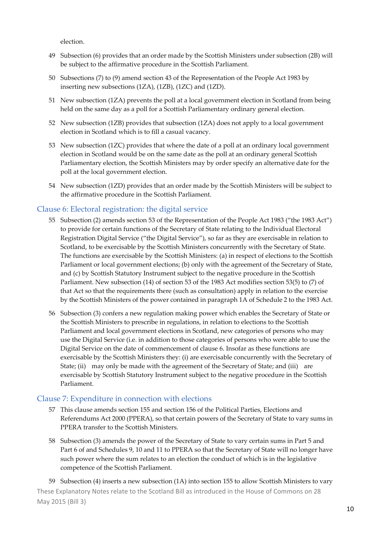election.

- 49 Subsection (6) provides that an order made by the Scottish Ministers under subsection (2B) will be subject to the affirmative procedure in the Scottish Parliament.
- 50 Subsections (7) to (9) amend section 43 of the Representation of the People Act 1983 by inserting new subsections (1ZA), (1ZB), (1ZC) and (1ZD).
- 51 New subsection (1ZA) prevents the poll at a local government election in Scotland from being held on the same day as a poll for a Scottish Parliamentary ordinary general election.
- 52 New subsection (1ZB) provides that subsection (1ZA) does not apply to a local government election in Scotland which is to fill a casual vacancy.
- 53 New subsection (1ZC) provides that where the date of a poll at an ordinary local government election in Scotland would be on the same date as the poll at an ordinary general Scottish Parliamentary election, the Scottish Ministers may by order specify an alternative date for the poll at the local government election.
- 54 New subsection (1ZD) provides that an order made by the Scottish Ministers will be subject to the affirmative procedure in the Scottish Parliament.

#### Clause 6: Electoral registration: the digital service

- 55 Subsection (2) amends section 53 of the Representation of the People Act 1983 ("the 1983 Act") to provide for certain functions of the Secretary of State relating to the Individual Electoral Registration Digital Service ("the Digital Service"), so far as they are exercisable in relation to Scotland, to be exercisable by the Scottish Ministers concurrently with the Secretary of State. The functions are exercisable by the Scottish Ministers: (a) in respect of elections to the Scottish Parliament or local government elections; (b) only with the agreement of the Secretary of State, and (c) by Scottish Statutory Instrument subject to the negative procedure in the Scottish Parliament. New subsection (14) of section 53 of the 1983 Act modifies section 53(5) to (7) of that Act so that the requirements there (such as consultation) apply in relation to the exercise by the Scottish Ministers of the power contained in paragraph 1A of Schedule 2 to the 1983 Act.
- 56 Subsection (3) confers a new regulation making power which enables the Secretary of State or the Scottish Ministers to prescribe in regulations, in relation to elections to the Scottish Parliament and local government elections in Scotland, new categories of persons who may use the Digital Service (i.e. in addition to those categories of persons who were able to use the Digital Service on the date of commencement of clause 6. Insofar as these functions are exercisable by the Scottish Ministers they: (i) are exercisable concurrently with the Secretary of State; (ii) may only be made with the agreement of the Secretary of State; and (iii) are exercisable by Scottish Statutory Instrument subject to the negative procedure in the Scottish Parliament.

#### Clause 7: Expenditure in connection with elections

- 57 This clause amends section 155 and section 156 of the Political Parties, Elections and Referendums Act 2000 (PPERA), so that certain powers of the Secretary of State to vary sums in PPERA transfer to the Scottish Ministers.
- 58 Subsection (3) amends the power of the Secretary of State to vary certain sums in Part 5 and Part 6 of and Schedules 9, 10 and 11 to PPERA so that the Secretary of State will no longer have such power where the sum relates to an election the conduct of which is in the legislative competence of the Scottish Parliament.

These Explanatory Notes relate to the Scotland Bill as introduced in the House of Commons on 28 May 2015 (Bill 3) 59 Subsection (4) inserts a new subsection (1A) into section 155 to allow Scottish Ministers to vary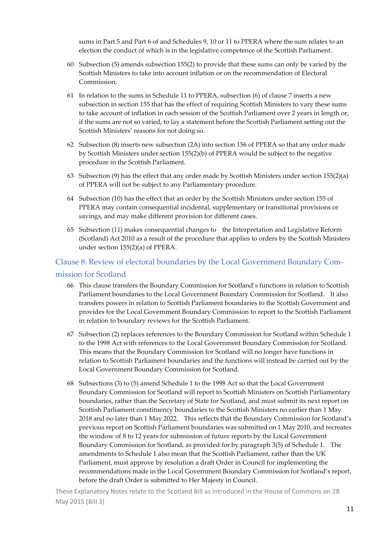sums in Part 5 and Part 6 of and Schedules 9, 10 or 11 to PPERA where the sum relates to an election the conduct of which is in the legislative competence of the Scottish Parliament.

- 60 Subsection (5) amends subsection 155(2) to provide that these sums can only be varied by the Scottish Ministers to take into account inflation or on the recommendation of Electoral Commission.
- 61 In relation to the sums in Schedule 11 to PPERA, subsection (6) of clause 7 inserts a new subsection in section 155 that has the effect of requiring Scottish Ministers to vary these sums to take account of inflation in each session of the Scottish Parliament over 2 years in length or, if the sums are not so varied, to lay a statement before the Scottish Parliament setting out the Scottish Ministers' reasons for not doing so.
- 62 Subsection (8) inserts new subsection (2A) into section 156 of PPERA so that any order made by Scottish Ministers under section 155(2)(b) of PPERA would be subject to the negative procedure in the Scottish Parliament.
- 63 Subsection (9) has the effect that any order made by Scottish Ministers under section 155(2)(a) of PPERA will not be subject to any Parliamentary procedure.
- 64 Subsection (10) has the effect that an order by the Scottish Ministers under section 155 of PPERA may contain consequential incidental, supplementary or transitional provisions or savings, and may make different provision for different cases.
- 65 Subsection (11) makes consequential changes to the Interpretation and Legislative Reform (Scotland) Act 2010 as a result of the procedure that applies to orders by the Scottish Ministers under section 155(2)(a) of PPERA.

### Clause 8: Review of electoral boundaries by the Local Government Boundary Com‐ mission for Scotland

- 66 This clause transfers the Boundary Commission for Scotland's functions in relation to Scottish Parliament boundaries to the Local Government Boundary Commission for Scotland. It also transfers powers in relation to Scottish Parliament boundaries to the Scottish Government and provides for the Local Government Boundary Commission to report to the Scottish Parliament in relation to boundary reviews for the Scottish Parliament.
- 67 Subsection (2) replaces references to the Boundary Commission for Scotland within Schedule 1 to the 1998 Act with references to the Local Government Boundary Commission for Scotland. This means that the Boundary Commission for Scotland will no longer have functions in relation to Scottish Parliament boundaries and the functions will instead be carried out by the Local Government Boundary Commission for Scotland.
- 68 Subsections (3) to (5) amend Schedule 1 to the 1998 Act so that the Local Government Boundary Commission for Scotland will report to Scottish Ministers on Scottish Parliamentary boundaries, rather than the Secretary of State for Scotland, and must submit its next report on Scottish Parliament constituency boundaries to the Scottish Ministers no earlier than 1 May 2018 and no later than 1 May 2022. This reflects that the Boundary Commission for Scotland's previous report on Scottish Parliament boundaries was submitted on 1 May 2010, and recreates the window of 8 to 12 years for submission of future reports by the Local Government Boundary Commission for Scotland, as provided for by paragraph 3(5) of Schedule 1. The amendments to Schedule 1 also mean that the Scottish Parliament, rather than the UK Parliament, must approve by resolution a draft Order in Council for implementing the recommendations made in the Local Government Boundary Commission for Scotland's report, before the draft Order is submitted to Her Majesty in Council.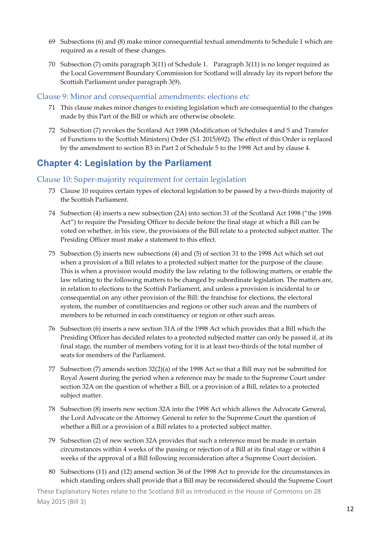- 69 Subsections (6) and (8) make minor consequential textual amendments to Schedule 1 which are required as a result of these changes.
- 70 Subsection (7) omits paragraph 3(11) of Schedule 1. Paragraph 3(11) is no longer required as the Local Government Boundary Commission for Scotland will already lay its report before the Scottish Parliament under paragraph 3(9).

#### Clause 9: Minor and consequential amendments: elections etc

- 71 This clause makes minor changes to existing legislation which are consequential to the changes made by this Part of the Bill or which are otherwise obsolete.
- 72 Subsection (7) revokes the Scotland Act 1998 (Modification of Schedules 4 and 5 and Transfer of Functions to the Scottish Ministers) Order (S.I. 2015/692). The effect of this Order is replaced by the amendment to section B3 in Part 2 of Schedule 5 to the 1998 Act and by clause 4.

### **Chapter 4: Legislation by the Parliament**

#### Clause 10: Super‐majority requirement for certain legislation

- 73 Clause 10 requires certain types of electoral legislation to be passed by a two-thirds majority of the Scottish Parliament.
- 74 Subsection (4) inserts a new subsection (2A) into section 31 of the Scotland Act 1998 ("the 1998 Act") to require the Presiding Officer to decide before the final stage at which a Bill can be voted on whether, in his view, the provisions of the Bill relate to a protected subject matter. The Presiding Officer must make a statement to this effect.
- 75 Subsection (5) inserts new subsections (4) and (5) of section 31 to the 1998 Act which set out when a provision of a Bill relates to a protected subject matter for the purpose of the clause. This is when a provision would modify the law relating to the following matters, or enable the law relating to the following matters to be changed by subordinate legislation. The matters are, in relation to elections to the Scottish Parliament, and unless a provision is incidental to or consequential on any other provision of the Bill: the franchise for elections, the electoral system, the number of constituencies and regions or other such areas and the numbers of members to be returned in each constituency or region or other such areas.
- 76 Subsection (6) inserts a new section 31A of the 1998 Act which provides that a Bill which the Presiding Officer has decided relates to a protected subjected matter can only be passed if, at its final stage, the number of members voting for it is at least two-thirds of the total number of seats for members of the Parliament.
- 77 Subsection (7) amends section 32(2)(a) of the 1998 Act so that a Bill may not be submitted for Royal Assent during the period when a reference may be made to the Supreme Court under section 32A on the question of whether a Bill, or a provision of a Bill, relates to a protected subject matter.
- 78 Subsection (8) inserts new section 32A into the 1998 Act which allows the Advocate General, the Lord Advocate or the Attorney General to refer to the Supreme Court the question of whether a Bill or a provision of a Bill relates to a protected subject matter.
- 79 Subsection (2) of new section 32A provides that such a reference must be made in certain circumstances within 4 weeks of the passing or rejection of a Bill at its final stage or within 4 weeks of the approval of a Bill following reconsideration after a Supreme Court decision.
- 80 Subsections (11) and (12) amend section 36 of the 1998 Act to provide for the circumstances in which standing orders shall provide that a Bill may be reconsidered should the Supreme Court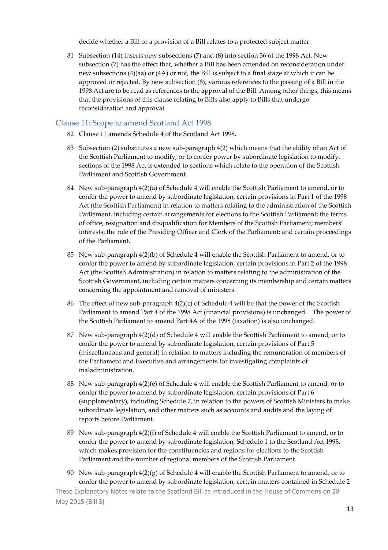decide whether a Bill or a provision of a Bill relates to a protected subject matter.

81 Subsection (14) inserts new subsections (7) and (8) into section 36 of the 1998 Act. New subsection (7) has the effect that, whether a Bill has been amended on reconsideration under new subsections (4)(aa) or (4A) or not, the Bill is subject to a final stage at which it can be approved or rejected. By new subsection (8), various references to the passing of a Bill in the 1998 Act are to be read as references to the approval of the Bill. Among other things, this means that the provisions of this clause relating to Bills also apply to Bills that undergo reconsideration and approval.

#### Clause 11: Scope to amend Scotland Act 1998

- 82 Clause 11 amends Schedule 4 of the Scotland Act 1998.
- 83 Subsection (2) substitutes a new sub-paragraph 4(2) which means that the ability of an Act of the Scottish Parliament to modify, or to confer power by subordinate legislation to modify, sections of the 1998 Act is extended to sections which relate to the operation of the Scottish Parliament and Scottish Government.
- 84 New sub‐paragraph 4(2)(a) of Schedule 4 will enable the Scottish Parliament to amend, or to confer the power to amend by subordinate legislation, certain provisions in Part 1 of the 1998 Act (the Scottish Parliament) in relation to matters relating to the administration of the Scottish Parliament, including certain arrangements for elections to the Scottish Parliament; the terms of office, resignation and disqualification for Members of the Scottish Parliament; members' interests; the role of the Presiding Officer and Clerk of the Parliament; and certain proceedings of the Parliament.
- 85 New sub‐paragraph 4(2)(b) of Schedule 4 will enable the Scottish Parliament to amend, or to confer the power to amend by subordinate legislation, certain provisions in Part 2 of the 1998 Act (the Scottish Administration) in relation to matters relating to the administration of the Scottish Government, including certain matters concerning its membership and certain matters concerning the appointment and removal of ministers.
- 86 The effect of new sub-paragraph 4(2)(c) of Schedule 4 will be that the power of the Scottish Parliament to amend Part 4 of the 1998 Act (financial provisions) is unchanged. The power of the Scottish Parliament to amend Part 4A of the 1998 (taxation) is also unchanged.
- 87 New sub-paragraph 4(2)(d) of Schedule 4 will enable the Scottish Parliament to amend, or to confer the power to amend by subordinate legislation, certain provisions of Part 5 (miscellaneous and general) in relation to matters including the remuneration of members of the Parliament and Executive and arrangements for investigating complaints of maladministration.
- 88 New sub-paragraph 4(2)(e) of Schedule 4 will enable the Scottish Parliament to amend, or to confer the power to amend by subordinate legislation, certain provisions of Part 6 (supplementary), including Schedule 7, in relation to the powers of Scottish Ministers to make subordinate legislation, and other matters such as accounts and audits and the laying of reports before Parliament.
- 89 New sub-paragraph 4(2)(f) of Schedule 4 will enable the Scottish Parliament to amend, or to confer the power to amend by subordinate legislation, Schedule 1 to the Scotland Act 1998, which makes provision for the constituencies and regions for elections to the Scottish Parliament and the number of regional members of the Scottish Parliament.
- 90 New sub-paragraph  $4(2)(g)$  of Schedule 4 will enable the Scottish Parliament to amend, or to confer the power to amend by subordinate legislation, certain matters contained in Schedule 2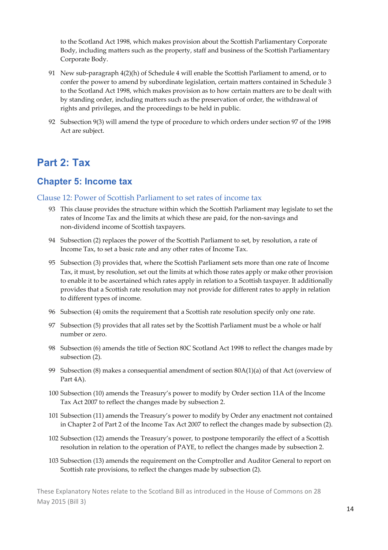to the Scotland Act 1998, which makes provision about the Scottish Parliamentary Corporate Body, including matters such as the property, staff and business of the Scottish Parliamentary Corporate Body.

- 91 New sub-paragraph 4(2)(h) of Schedule 4 will enable the Scottish Parliament to amend, or to confer the power to amend by subordinate legislation, certain matters contained in Schedule 3 to the Scotland Act 1998, which makes provision as to how certain matters are to be dealt with by standing order, including matters such as the preservation of order, the withdrawal of rights and privileges, and the proceedings to be held in public.
- 92 Subsection 9(3) will amend the type of procedure to which orders under section 97 of the 1998 Act are subject.

### **Part 2: Tax**

#### **Chapter 5: Income tax**

#### Clause 12: Power of Scottish Parliament to set rates of income tax

- 93 This clause provides the structure within which the Scottish Parliament may legislate to set the rates of Income Tax and the limits at which these are paid, for the non‐savings and non‐dividend income of Scottish taxpayers.
- 94 Subsection (2) replaces the power of the Scottish Parliament to set, by resolution, a rate of Income Tax, to set a basic rate and any other rates of Income Tax.
- 95 Subsection (3) provides that, where the Scottish Parliament sets more than one rate of Income Tax, it must, by resolution, set out the limits at which those rates apply or make other provision to enable it to be ascertained which rates apply in relation to a Scottish taxpayer. It additionally provides that a Scottish rate resolution may not provide for different rates to apply in relation to different types of income.
- 96 Subsection (4) omits the requirement that a Scottish rate resolution specify only one rate.
- 97 Subsection (5) provides that all rates set by the Scottish Parliament must be a whole or half number or zero.
- 98 Subsection (6) amends the title of Section 80C Scotland Act 1998 to reflect the changes made by subsection (2).
- 99 Subsection (8) makes a consequential amendment of section 80A(1)(a) of that Act (overview of Part 4A).
- 100 Subsection (10) amends the Treasury's power to modify by Order section 11A of the Income Tax Act 2007 to reflect the changes made by subsection 2.
- 101 Subsection (11) amends the Treasury's power to modify by Order any enactment not contained in Chapter 2 of Part 2 of the Income Tax Act 2007 to reflect the changes made by subsection (2).
- 102 Subsection (12) amends the Treasury's power, to postpone temporarily the effect of a Scottish resolution in relation to the operation of PAYE, to reflect the changes made by subsection 2.
- 103 Subsection (13) amends the requirement on the Comptroller and Auditor General to report on Scottish rate provisions, to reflect the changes made by subsection (2).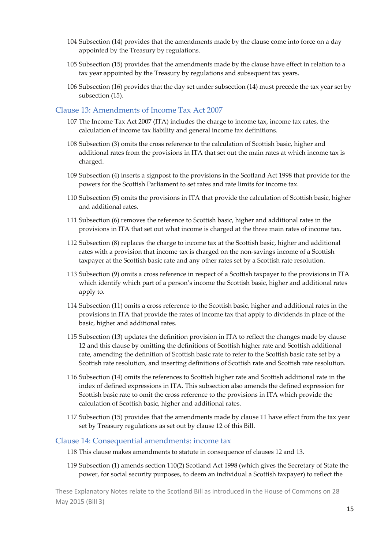- 104 Subsection (14) provides that the amendments made by the clause come into force on a day appointed by the Treasury by regulations.
- 105 Subsection (15) provides that the amendments made by the clause have effect in relation to a tax year appointed by the Treasury by regulations and subsequent tax years.
- 106 Subsection (16) provides that the day set under subsection (14) must precede the tax year set by subsection (15).

#### Clause 13: Amendments of Income Tax Act 2007

- 107 The Income Tax Act 2007 (ITA) includes the charge to income tax, income tax rates, the calculation of income tax liability and general income tax definitions.
- 108 Subsection (3) omits the cross reference to the calculation of Scottish basic, higher and additional rates from the provisions in ITA that set out the main rates at which income tax is charged.
- 109 Subsection (4) inserts a signpost to the provisions in the Scotland Act 1998 that provide for the powers for the Scottish Parliament to set rates and rate limits for income tax.
- 110 Subsection (5) omits the provisions in ITA that provide the calculation of Scottish basic, higher and additional rates.
- 111 Subsection (6) removes the reference to Scottish basic, higher and additional rates in the provisions in ITA that set out what income is charged at the three main rates of income tax.
- 112 Subsection (8) replaces the charge to income tax at the Scottish basic, higher and additional rates with a provision that income tax is charged on the non‐savings income of a Scottish taxpayer at the Scottish basic rate and any other rates set by a Scottish rate resolution.
- 113 Subsection (9) omits a cross reference in respect of a Scottish taxpayer to the provisions in ITA which identify which part of a person's income the Scottish basic, higher and additional rates apply to.
- 114 Subsection (11) omits a cross reference to the Scottish basic, higher and additional rates in the provisions in ITA that provide the rates of income tax that apply to dividends in place of the basic, higher and additional rates.
- 115 Subsection (13) updates the definition provision in ITA to reflect the changes made by clause 12 and this clause by omitting the definitions of Scottish higher rate and Scottish additional rate, amending the definition of Scottish basic rate to refer to the Scottish basic rate set by a Scottish rate resolution, and inserting definitions of Scottish rate and Scottish rate resolution.
- 116 Subsection (14) omits the references to Scottish higher rate and Scottish additional rate in the index of defined expressions in ITA. This subsection also amends the defined expression for Scottish basic rate to omit the cross reference to the provisions in ITA which provide the calculation of Scottish basic, higher and additional rates.
- 117 Subsection (15) provides that the amendments made by clause 11 have effect from the tax year set by Treasury regulations as set out by clause 12 of this Bill.

#### Clause 14: Consequential amendments: income tax

- 118 This clause makes amendments to statute in consequence of clauses 12 and 13.
- 119 Subsection (1) amends section 110(2) Scotland Act 1998 (which gives the Secretary of State the power, for social security purposes, to deem an individual a Scottish taxpayer) to reflect the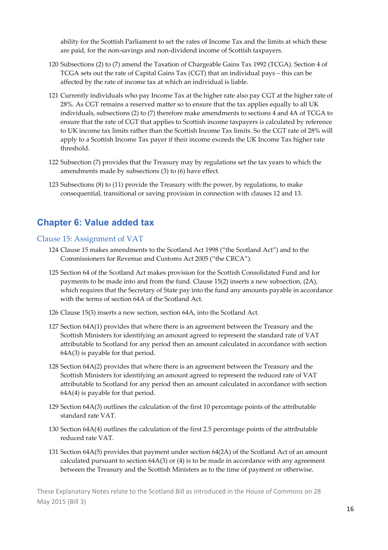ability for the Scottish Parliament to set the rates of Income Tax and the limits at which these are paid, for the non‐savings and non‐dividend income of Scottish taxpayers.

- 120 Subsections (2) to (7) amend the Taxation of Chargeable Gains Tax 1992 (TCGA). Section 4 of TCGA sets out the rate of Capital Gains Tax (CGT) that an individual pays – this can be affected by the rate of income tax at which an individual is liable.
- 121 Currently individuals who pay Income Tax at the higher rate also pay CGT at the higher rate of 28%. As CGT remains a reserved matter so to ensure that the tax applies equally to all UK individuals, subsections (2) to (7) therefore make amendments to sections 4 and 4A of TCGA to ensure that the rate of CGT that applies to Scottish income taxpayers is calculated by reference to UK income tax limits rather than the Scottish Income Tax limits. So the CGT rate of 28% will apply to a Scottish Income Tax payer if their income exceeds the UK Income Tax higher rate threshold.
- 122 Subsection (7) provides that the Treasury may by regulations set the tax years to which the amendments made by subsections (3) to (6) have effect.
- 123 Subsections (8) to (11) provide the Treasury with the power, by regulations, to make consequential, transitional or saving provision in connection with clauses 12 and 13.

#### **Chapter 6: Value added tax**

#### Clause 15: Assignment of VAT

- 124 Clause 15 makes amendments to the Scotland Act 1998 ("the Scotland Act") and to the Commissioners for Revenue and Customs Act 2005 ("the CRCA").
- 125 Section 64 of the Scotland Act makes provision for the Scottish Consolidated Fund and for payments to be made into and from the fund. Clause 15(2) inserts a new subsection, (2A), which requires that the Secretary of State pay into the fund any amounts payable in accordance with the terms of section 64A of the Scotland Act.
- 126 Clause 15(3) inserts a new section, section 64A, into the Scotland Act.
- 127 Section 64A(1) provides that where there is an agreement between the Treasury and the Scottish Ministers for identifying an amount agreed to represent the standard rate of VAT attributable to Scotland for any period then an amount calculated in accordance with section 64A(3) is payable for that period.
- 128 Section 64A(2) provides that where there is an agreement between the Treasury and the Scottish Ministers for identifying an amount agreed to represent the reduced rate of VAT attributable to Scotland for any period then an amount calculated in accordance with section 64A(4) is payable for that period.
- 129 Section 64A(3) outlines the calculation of the first 10 percentage points of the attributable standard rate VAT.
- 130 Section 64A(4) outlines the calculation of the first 2.5 percentage points of the attributable reduced rate VAT.
- 131 Section 64A(5) provides that payment under section 64(2A) of the Scotland Act of an amount calculated pursuant to section 64A(3) or (4) is to be made in accordance with any agreement between the Treasury and the Scottish Ministers as to the time of payment or otherwise.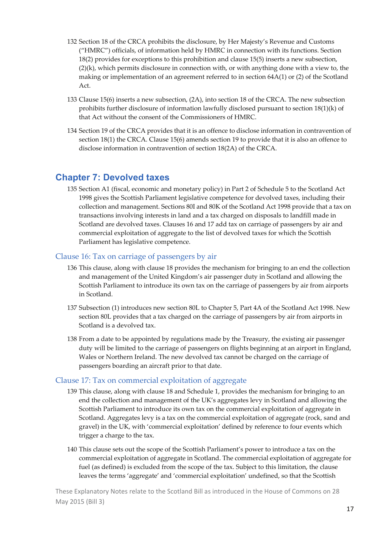- 132 Section 18 of the CRCA prohibits the disclosure, by Her Majesty's Revenue and Customs ("HMRC") officials, of information held by HMRC in connection with its functions. Section 18(2) provides for exceptions to this prohibition and clause 15(5) inserts a new subsection,  $(2)(k)$ , which permits disclosure in connection with, or with anything done with a view to, the making or implementation of an agreement referred to in section 64A(1) or (2) of the Scotland Act.
- 133 Clause 15(6) inserts a new subsection, (2A), into section 18 of the CRCA. The new subsection prohibits further disclosure of information lawfully disclosed pursuant to section 18(1)(k) of that Act without the consent of the Commissioners of HMRC.
- 134 Section 19 of the CRCA provides that it is an offence to disclose information in contravention of section 18(1) the CRCA. Clause 15(6) amends section 19 to provide that it is also an offence to disclose information in contravention of section 18(2A) of the CRCA.

### **Chapter 7: Devolved taxes**

135 Section A1 (fiscal, economic and monetary policy) in Part 2 of Schedule 5 to the Scotland Act 1998 gives the Scottish Parliament legislative competence for devolved taxes, including their collection and management. Sections 80I and 80K of the Scotland Act 1998 provide that a tax on transactions involving interests in land and a tax charged on disposals to landfill made in Scotland are devolved taxes. Clauses 16 and 17 add tax on carriage of passengers by air and commercial exploitation of aggregate to the list of devolved taxes for which the Scottish Parliament has legislative competence.

#### Clause 16: Tax on carriage of passengers by air

- 136 This clause, along with clause 18 provides the mechanism for bringing to an end the collection and management of the United Kingdom's air passenger duty in Scotland and allowing the Scottish Parliament to introduce its own tax on the carriage of passengers by air from airports in Scotland.
- 137 Subsection (1) introduces new section 80L to Chapter 5, Part 4A of the Scotland Act 1998. New section 80L provides that a tax charged on the carriage of passengers by air from airports in Scotland is a devolved tax.
- 138 From a date to be appointed by regulations made by the Treasury, the existing air passenger duty will be limited to the carriage of passengers on flights beginning at an airport in England, Wales or Northern Ireland. The new devolved tax cannot be charged on the carriage of passengers boarding an aircraft prior to that date.

#### Clause 17: Tax on commercial exploitation of aggregate

- 139 This clause, along with clause 18 and Schedule 1, provides the mechanism for bringing to an end the collection and management of the UK's aggregates levy in Scotland and allowing the Scottish Parliament to introduce its own tax on the commercial exploitation of aggregate in Scotland. Aggregates levy is a tax on the commercial exploitation of aggregate (rock, sand and gravel) in the UK, with 'commercial exploitation' defined by reference to four events which trigger a charge to the tax.
- 140 This clause sets out the scope of the Scottish Parliament's power to introduce a tax on the commercial exploitation of aggregate in Scotland. The commercial exploitation of aggregate for fuel (as defined) is excluded from the scope of the tax. Subject to this limitation, the clause leaves the terms 'aggregate' and 'commercial exploitation' undefined, so that the Scottish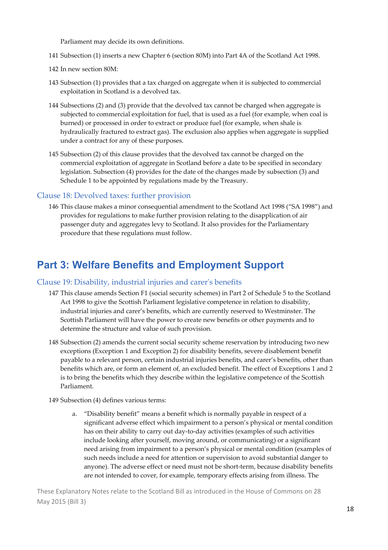Parliament may decide its own definitions.

- 141 Subsection (1) inserts a new Chapter 6 (section 80M) into Part 4A of the Scotland Act 1998.
- 142 In new section 80M:
- 143 Subsection (1) provides that a tax charged on aggregate when it is subjected to commercial exploitation in Scotland is a devolved tax.
- 144 Subsections (2) and (3) provide that the devolved tax cannot be charged when aggregate is subjected to commercial exploitation for fuel, that is used as a fuel (for example, when coal is burned) or processed in order to extract or produce fuel (for example, when shale is hydraulically fractured to extract gas). The exclusion also applies when aggregate is supplied under a contract for any of these purposes.
- 145 Subsection (2) of this clause provides that the devolved tax cannot be charged on the commercial exploitation of aggregate in Scotland before a date to be specified in secondary legislation. Subsection (4) provides for the date of the changes made by subsection (3) and Schedule 1 to be appointed by regulations made by the Treasury.

#### Clause 18: Devolved taxes: further provision

146 This clause makes a minor consequential amendment to the Scotland Act 1998 ("SA 1998") and provides for regulations to make further provision relating to the disapplication of air passenger duty and aggregates levy to Scotland. It also provides for the Parliamentary procedure that these regulations must follow.

### **Part 3: Welfare Benefits and Employment Support**

#### Clause 19: Disability, industrial injuries and carerʹs benefits

- 147 This clause amends Section F1 (social security schemes) in Part 2 of Schedule 5 to the Scotland Act 1998 to give the Scottish Parliament legislative competence in relation to disability, industrial injuries and carer's benefits, which are currently reserved to Westminster. The Scottish Parliament will have the power to create new benefits or other payments and to determine the structure and value of such provision.
- 148 Subsection (2) amends the current social security scheme reservation by introducing two new exceptions (Exception 1 and Exception 2) for disability benefits, severe disablement benefit payable to a relevant person, certain industrial injuries benefits, and carer's benefits, other than benefits which are, or form an element of, an excluded benefit. The effect of Exceptions 1 and 2 is to bring the benefits which they describe within the legislative competence of the Scottish Parliament.
- 149 Subsection (4) defines various terms:
	- a. "Disability benefit" means a benefit which is normally payable in respect of a significant adverse effect which impairment to a person's physical or mental condition has on their ability to carry out day-to-day activities (examples of such activities include looking after yourself, moving around, or communicating) or a significant need arising from impairment to a person's physical or mental condition (examples of such needs include a need for attention or supervision to avoid substantial danger to anyone). The adverse effect or need must not be short‐term, because disability benefits are not intended to cover, for example, temporary effects arising from illness. The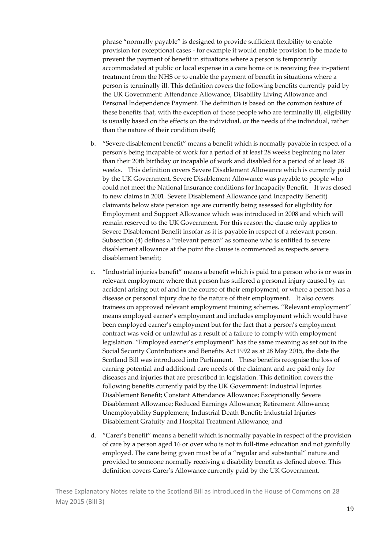phrase "normally payable" is designed to provide sufficient flexibility to enable provision for exceptional cases ‐ for example it would enable provision to be made to prevent the payment of benefit in situations where a person is temporarily accommodated at public or local expense in a care home or is receiving free in‐patient treatment from the NHS or to enable the payment of benefit in situations where a person is terminally ill. This definition covers the following benefits currently paid by the UK Government: Attendance Allowance, Disability Living Allowance and Personal Independence Payment. The definition is based on the common feature of these benefits that, with the exception of those people who are terminally ill, eligibility is usually based on the effects on the individual, or the needs of the individual, rather than the nature of their condition itself;

- b. "Severe disablement benefit" means a benefit which is normally payable in respect of a person's being incapable of work for a period of at least 28 weeks beginning no later than their 20th birthday or incapable of work and disabled for a period of at least 28 weeks. This definition covers Severe Disablement Allowance which is currently paid by the UK Government. Severe Disablement Allowance was payable to people who could not meet the National Insurance conditions for Incapacity Benefit. It was closed to new claims in 2001. Severe Disablement Allowance (and Incapacity Benefit) claimants below state pension age are currently being assessed for eligibility for Employment and Support Allowance which was introduced in 2008 and which will remain reserved to the UK Government. For this reason the clause only applies to Severe Disablement Benefit insofar as it is payable in respect of a relevant person. Subsection (4) defines a "relevant person" as someone who is entitled to severe disablement allowance at the point the clause is commenced as respects severe disablement benefit;
- c. "Industrial injuries benefit" means a benefit which is paid to a person who is or was in relevant employment where that person has suffered a personal injury caused by an accident arising out of and in the course of their employment, or where a person has a disease or personal injury due to the nature of their employment. It also covers trainees on approved relevant employment training schemes. "Relevant employment" means employed earner's employment and includes employment which would have been employed earner's employment but for the fact that a person's employment contract was void or unlawful as a result of a failure to comply with employment legislation. "Employed earner's employment" has the same meaning as set out in the Social Security Contributions and Benefits Act 1992 as at 28 May 2015, the date the Scotland Bill was introduced into Parliament. These benefits recognise the loss of earning potential and additional care needs of the claimant and are paid only for diseases and injuries that are prescribed in legislation. This definition covers the following benefits currently paid by the UK Government: Industrial Injuries Disablement Benefit; Constant Attendance Allowance; Exceptionally Severe Disablement Allowance; Reduced Earnings Allowance; Retirement Allowance; Unemployability Supplement; Industrial Death Benefit; Industrial Injuries Disablement Gratuity and Hospital Treatment Allowance; and
- d. "Carer's benefit" means a benefit which is normally payable in respect of the provision of care by a person aged 16 or over who is not in full-time education and not gainfully employed. The care being given must be of a "regular and substantial" nature and provided to someone normally receiving a disability benefit as defined above. This definition covers Carer's Allowance currently paid by the UK Government.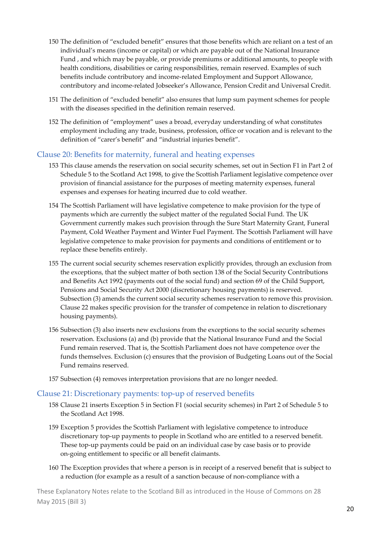- 150 The definition of "excluded benefit" ensures that those benefits which are reliant on a test of an individual's means (income or capital) or which are payable out of the National Insurance Fund , and which may be payable, or provide premiums or additional amounts, to people with health conditions, disabilities or caring responsibilities, remain reserved. Examples of such benefits include contributory and income‐related Employment and Support Allowance, contributory and income‐related Jobseeker's Allowance, Pension Credit and Universal Credit.
- 151 The definition of "excluded benefit" also ensures that lump sum payment schemes for people with the diseases specified in the definition remain reserved.
- 152 The definition of "employment" uses a broad, everyday understanding of what constitutes employment including any trade, business, profession, office or vocation and is relevant to the definition of "carer's benefit" and "industrial injuries benefit".

#### Clause 20: Benefits for maternity, funeral and heating expenses

- 153 This clause amends the reservation on social security schemes, set out in Section F1 in Part 2 of Schedule 5 to the Scotland Act 1998, to give the Scottish Parliament legislative competence over provision of financial assistance for the purposes of meeting maternity expenses, funeral expenses and expenses for heating incurred due to cold weather.
- 154 The Scottish Parliament will have legislative competence to make provision for the type of payments which are currently the subject matter of the regulated Social Fund. The UK Government currently makes such provision through the Sure Start Maternity Grant, Funeral Payment, Cold Weather Payment and Winter Fuel Payment. The Scottish Parliament will have legislative competence to make provision for payments and conditions of entitlement or to replace these benefits entirely.
- 155 The current social security schemes reservation explicitly provides, through an exclusion from the exceptions, that the subject matter of both section 138 of the Social Security Contributions and Benefits Act 1992 (payments out of the social fund) and section 69 of the Child Support, Pensions and Social Security Act 2000 (discretionary housing payments) is reserved. Subsection (3) amends the current social security schemes reservation to remove this provision. Clause 22 makes specific provision for the transfer of competence in relation to discretionary housing payments).
- 156 Subsection (3) also inserts new exclusions from the exceptions to the social security schemes reservation. Exclusions (a) and (b) provide that the National Insurance Fund and the Social Fund remain reserved. That is, the Scottish Parliament does not have competence over the funds themselves. Exclusion (c) ensures that the provision of Budgeting Loans out of the Social Fund remains reserved.
- 157 Subsection (4) removes interpretation provisions that are no longer needed.

#### Clause 21: Discretionary payments: top‐up of reserved benefits

- 158 Clause 21 inserts Exception 5 in Section F1 (social security schemes) in Part 2 of Schedule 5 to the Scotland Act 1998.
- 159 Exception 5 provides the Scottish Parliament with legislative competence to introduce discretionary top‐up payments to people in Scotland who are entitled to a reserved benefit. These top-up payments could be paid on an individual case by case basis or to provide on‐going entitlement to specific or all benefit claimants.
- 160 The Exception provides that where a person is in receipt of a reserved benefit that is subject to a reduction (for example as a result of a sanction because of non‐compliance with a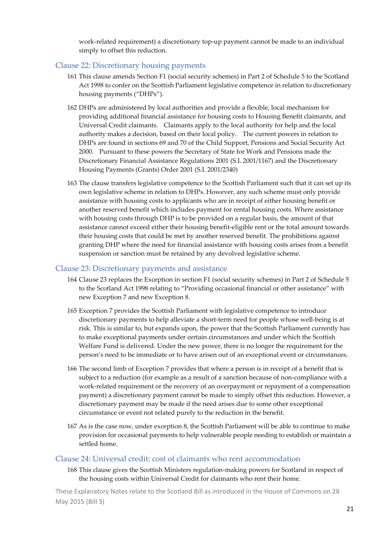work-related requirement) a discretionary top-up payment cannot be made to an individual simply to offset this reduction.

#### Clause 22: Discretionary housing payments

- 161 This clause amends Section F1 (social security schemes) in Part 2 of Schedule 5 to the Scotland Act 1998 to confer on the Scottish Parliament legislative competence in relation to discretionary housing payments ("DHPs").
- 162 DHPs are administered by local authorities and provide a flexible, local mechanism for providing additional financial assistance for housing costs to Housing Benefit claimants, and Universal Credit claimants. Claimants apply to the local authority for help and the local authority makes a decision, based on their local policy. The current powers in relation to DHPs are found in sections 69 and 70 of the Child Support, Pensions and Social Security Act 2000. Pursuant to these powers the Secretary of State for Work and Pensions made the Discretionary Financial Assistance Regulations 2001 (S.I. 2001/1167) and the Discretionary Housing Payments (Grants) Order 2001 (S.I. 2001/2340)
- 163 The clause transfers legislative competence to the Scottish Parliament such that it can set up its own legislative scheme in relation to DHPs. However, any such scheme must only provide assistance with housing costs to applicants who are in receipt of either housing benefit or another reserved benefit which includes payment for rental housing costs. Where assistance with housing costs through DHP is to be provided on a regular basis, the amount of that assistance cannot exceed either their housing benefit‐eligible rent or the total amount towards their housing costs that could be met by another reserved benefit. The prohibitions against granting DHP where the need for financial assistance with housing costs arises from a benefit suspension or sanction must be retained by any devolved legislative scheme.

#### Clause 23: Discretionary payments and assistance

- 164 Clause 23 replaces the Exception in section F1 (social security schemes) in Part 2 of Schedule 5 to the Scotland Act 1998 relating to "Providing occasional financial or other assistance" with new Exception 7 and new Exception 8.
- 165 Exception 7 provides the Scottish Parliament with legislative competence to introduce discretionary payments to help alleviate a short-term need for people whose well-being is at risk. This is similar to, but expands upon, the power that the Scottish Parliament currently has to make exceptional payments under certain circumstances and under which the Scottish Welfare Fund is delivered. Under the new power, there is no longer the requirement for the person's need to be immediate or to have arisen out of an exceptional event or circumstances.
- 166 The second limb of Exception 7 provides that where a person is in receipt of a benefit that is subject to a reduction (for example as a result of a sanction because of non-compliance with a work-related requirement or the recovery of an overpayment or repayment of a compensation payment) a discretionary payment cannot be made to simply offset this reduction. However, a discretionary payment may be made if the need arises due to some other exceptional circumstance or event not related purely to the reduction in the benefit.
- 167 As is the case now, under exception 8, the Scottish Parliament will be able to continue to make provision for occasional payments to help vulnerable people needing to establish or maintain a settled home.

#### Clause 24: Universal credit: cost of claimants who rent accommodation

168 This clause gives the Scottish Ministers regulation-making powers for Scotland in respect of the housing costs within Universal Credit for claimants who rent their home.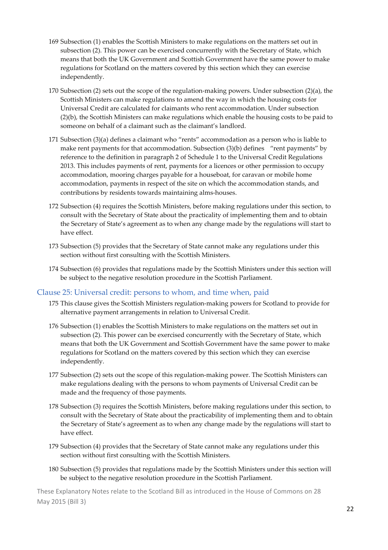- 169 Subsection (1) enables the Scottish Ministers to make regulations on the matters set out in subsection (2). This power can be exercised concurrently with the Secretary of State, which means that both the UK Government and Scottish Government have the same power to make regulations for Scotland on the matters covered by this section which they can exercise independently.
- 170 Subsection (2) sets out the scope of the regulation-making powers. Under subsection (2)(a), the Scottish Ministers can make regulations to amend the way in which the housing costs for Universal Credit are calculated for claimants who rent accommodation. Under subsection (2)(b), the Scottish Ministers can make regulations which enable the housing costs to be paid to someone on behalf of a claimant such as the claimant's landlord.
- 171 Subsection (3)(a) defines a claimant who "rents" accommodation as a person who is liable to make rent payments for that accommodation. Subsection (3)(b) defines "rent payments" by reference to the definition in paragraph 2 of Schedule 1 to the Universal Credit Regulations 2013. This includes payments of rent, payments for a licences or other permission to occupy accommodation, mooring charges payable for a houseboat, for caravan or mobile home accommodation, payments in respect of the site on which the accommodation stands, and contributions by residents towards maintaining alms‐houses.
- 172 Subsection (4) requires the Scottish Ministers, before making regulations under this section, to consult with the Secretary of State about the practicality of implementing them and to obtain the Secretary of State's agreement as to when any change made by the regulations will start to have effect.
- 173 Subsection (5) provides that the Secretary of State cannot make any regulations under this section without first consulting with the Scottish Ministers.
- 174 Subsection (6) provides that regulations made by the Scottish Ministers under this section will be subject to the negative resolution procedure in the Scottish Parliament.

#### Clause 25: Universal credit: persons to whom, and time when, paid

- 175 This clause gives the Scottish Ministers regulation‐making powers for Scotland to provide for alternative payment arrangements in relation to Universal Credit.
- 176 Subsection (1) enables the Scottish Ministers to make regulations on the matters set out in subsection (2). This power can be exercised concurrently with the Secretary of State, which means that both the UK Government and Scottish Government have the same power to make regulations for Scotland on the matters covered by this section which they can exercise independently.
- 177 Subsection (2) sets out the scope of this regulation‐making power. The Scottish Ministers can make regulations dealing with the persons to whom payments of Universal Credit can be made and the frequency of those payments.
- 178 Subsection (3) requires the Scottish Ministers, before making regulations under this section, to consult with the Secretary of State about the practicability of implementing them and to obtain the Secretary of State's agreement as to when any change made by the regulations will start to have effect.
- 179 Subsection (4) provides that the Secretary of State cannot make any regulations under this section without first consulting with the Scottish Ministers.
- 180 Subsection (5) provides that regulations made by the Scottish Ministers under this section will be subject to the negative resolution procedure in the Scottish Parliament.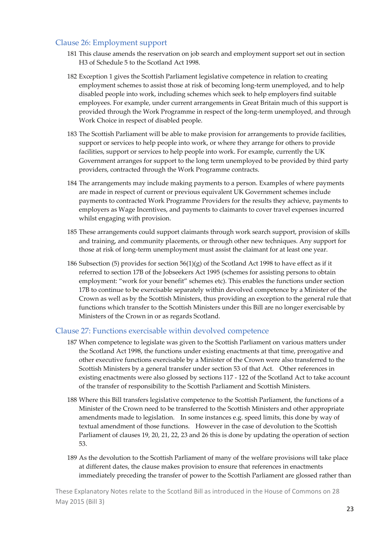#### Clause 26: Employment support

- 181 This clause amends the reservation on job search and employment support set out in section H3 of Schedule 5 to the Scotland Act 1998.
- 182 Exception 1 gives the Scottish Parliament legislative competence in relation to creating employment schemes to assist those at risk of becoming long-term unemployed, and to help disabled people into work, including schemes which seek to help employers find suitable employees. For example, under current arrangements in Great Britain much of this support is provided through the Work Programme in respect of the long‐term unemployed, and through Work Choice in respect of disabled people.
- 183 The Scottish Parliament will be able to make provision for arrangements to provide facilities, support or services to help people into work, or where they arrange for others to provide facilities, support or services to help people into work. For example, currently the UK Government arranges for support to the long term unemployed to be provided by third party providers, contracted through the Work Programme contracts.
- 184 The arrangements may include making payments to a person. Examples of where payments are made in respect of current or previous equivalent UK Government schemes include payments to contracted Work Programme Providers for the results they achieve, payments to employers as Wage Incentives, and payments to claimants to cover travel expenses incurred whilst engaging with provision.
- 185 These arrangements could support claimants through work search support, provision of skills and training, and community placements, or through other new techniques. Any support for those at risk of long‐term unemployment must assist the claimant for at least one year.
- 186 Subsection (5) provides for section  $56(1)(g)$  of the Scotland Act 1998 to have effect as if it referred to section 17B of the Jobseekers Act 1995 (schemes for assisting persons to obtain employment: "work for your benefit" schemes etc). This enables the functions under section 17B to continue to be exercisable separately within devolved competence by a Minister of the Crown as well as by the Scottish Ministers, thus providing an exception to the general rule that functions which transfer to the Scottish Ministers under this Bill are no longer exercisable by Ministers of the Crown in or as regards Scotland.

#### Clause 27: Functions exercisable within devolved competence

- 187 When competence to legislate was given to the Scottish Parliament on various matters under the Scotland Act 1998, the functions under existing enactments at that time, prerogative and other executive functions exercisable by a Minister of the Crown were also transferred to the Scottish Ministers by a general transfer under section 53 of that Act. Other references in existing enactments were also glossed by sections 117 ‐ 122 of the Scotland Act to take account of the transfer of responsibility to the Scottish Parliament and Scottish Ministers.
- 188 Where this Bill transfers legislative competence to the Scottish Parliament, the functions of a Minister of the Crown need to be transferred to the Scottish Ministers and other appropriate amendments made to legislation. In some instances e.g. speed limits, this done by way of textual amendment of those functions. However in the case of devolution to the Scottish Parliament of clauses 19, 20, 21, 22, 23 and 26 this is done by updating the operation of section 53.
- 189 As the devolution to the Scottish Parliament of many of the welfare provisions will take place at different dates, the clause makes provision to ensure that references in enactments immediately preceding the transfer of power to the Scottish Parliament are glossed rather than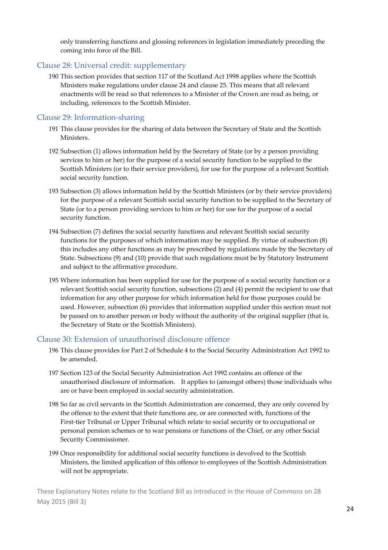only transferring functions and glossing references in legislation immediately preceding the coming into force of the Bill.

#### Clause 28: Universal credit: supplementary

190 This section provides that section 117 of the Scotland Act 1998 applies where the Scottish Ministers make regulations under clause 24 and clause 25. This means that all relevant enactments will be read so that references to a Minister of the Crown are read as being, or including, references to the Scottish Minister.

#### Clause 29: Information‐sharing

- 191 This clause provides for the sharing of data between the Secretary of State and the Scottish Ministers.
- 192 Subsection (1) allows information held by the Secretary of State (or by a person providing services to him or her) for the purpose of a social security function to be supplied to the Scottish Ministers (or to their service providers), for use for the purpose of a relevant Scottish social security function.
- 193 Subsection (3) allows information held by the Scottish Ministers (or by their service providers) for the purpose of a relevant Scottish social security function to be supplied to the Secretary of State (or to a person providing services to him or her) for use for the purpose of a social security function.
- 194 Subsection (7) defines the social security functions and relevant Scottish social security functions for the purposes of which information may be supplied. By virtue of subsection (8) this includes any other functions as may be prescribed by regulations made by the Secretary of State. Subsections (9) and (10) provide that such regulations must be by Statutory Instrument and subject to the affirmative procedure.
- 195 Where information has been supplied for use for the purpose of a social security function or a relevant Scottish social security function, subsections (2) and (4) permit the recipient to use that information for any other purpose for which information held for those purposes could be used. However, subsection (6) provides that information supplied under this section must not be passed on to another person or body without the authority of the original supplier (that is, the Secretary of State or the Scottish Ministers).

#### Clause 30: Extension of unauthorised disclosure offence

- 196 This clause provides for Part 2 of Schedule 4 to the Social Security Administration Act 1992 to be amended.
- 197 Section 123 of the Social Security Administration Act 1992 contains an offence of the unauthorised disclosure of information. It applies to (amongst others) those individuals who are or have been employed in social security administration.
- 198 So far as civil servants in the Scottish Administration are concerned, they are only covered by the offence to the extent that their functions are, or are connected with, functions of the First-tier Tribunal or Upper Tribunal which relate to social security or to occupational or personal pension schemes or to war pensions or functions of the Chief, or any other Social Security Commissioner.
- 199 Once responsibility for additional social security functions is devolved to the Scottish Ministers, the limited application of this offence to employees of the Scottish Administration will not be appropriate.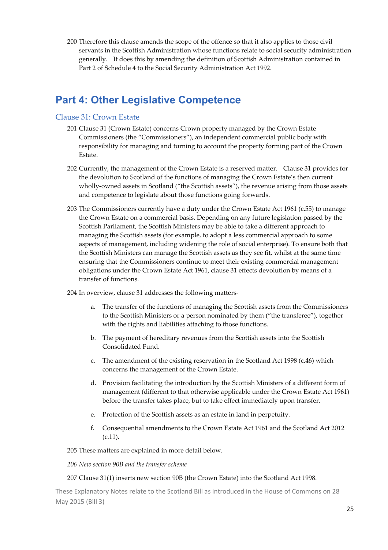200 Therefore this clause amends the scope of the offence so that it also applies to those civil servants in the Scottish Administration whose functions relate to social security administration generally. It does this by amending the definition of Scottish Administration contained in Part 2 of Schedule 4 to the Social Security Administration Act 1992.

### **Part 4: Other Legislative Competence**

#### Clause 31: Crown Estate

- 201 Clause 31 (Crown Estate) concerns Crown property managed by the Crown Estate Commissioners (the "Commissioners"), an independent commercial public body with responsibility for managing and turning to account the property forming part of the Crown Estate.
- 202 Currently, the management of the Crown Estate is a reserved matter. Clause 31 provides for the devolution to Scotland of the functions of managing the Crown Estate's then current wholly-owned assets in Scotland ("the Scottish assets"), the revenue arising from those assets and competence to legislate about those functions going forwards.
- 203 The Commissioners currently have a duty under the Crown Estate Act 1961 (c.55) to manage the Crown Estate on a commercial basis. Depending on any future legislation passed by the Scottish Parliament, the Scottish Ministers may be able to take a different approach to managing the Scottish assets (for example, to adopt a less commercial approach to some aspects of management, including widening the role of social enterprise). To ensure both that the Scottish Ministers can manage the Scottish assets as they see fit, whilst at the same time ensuring that the Commissioners continue to meet their existing commercial management obligations under the Crown Estate Act 1961, clause 31 effects devolution by means of a transfer of functions.

204 In overview, clause 31 addresses the following matters‐

- a. The transfer of the functions of managing the Scottish assets from the Commissioners to the Scottish Ministers or a person nominated by them ("the transferee"), together with the rights and liabilities attaching to those functions.
- b. The payment of hereditary revenues from the Scottish assets into the Scottish Consolidated Fund.
- c. The amendment of the existing reservation in the Scotland Act 1998 (c.46) which concerns the management of the Crown Estate.
- d. Provision facilitating the introduction by the Scottish Ministers of a different form of management (different to that otherwise applicable under the Crown Estate Act 1961) before the transfer takes place, but to take effect immediately upon transfer.
- e. Protection of the Scottish assets as an estate in land in perpetuity.
- f. Consequential amendments to the Crown Estate Act 1961 and the Scotland Act 2012 (c.11).

205 These matters are explained in more detail below.

*206 New section 90B and the transfer scheme*

#### 207 Clause 31(1) inserts new section 90B (the Crown Estate) into the Scotland Act 1998.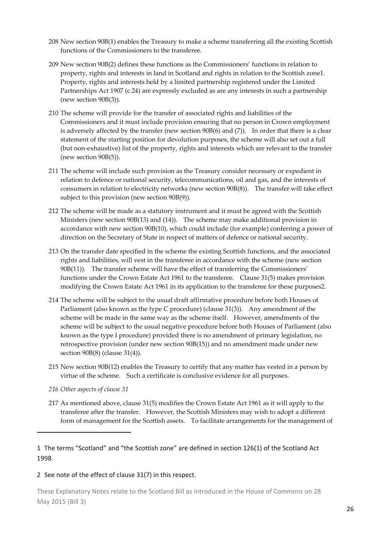- 208 New section 90B(1) enables the Treasury to make a scheme transferring all the existing Scottish functions of the Commissioners to the transferee.
- 209 New section 90B(2) defines these functions as the Commissioners' functions in relation to property, rights and interests in land in Scotland and rights in relation to the Scottish zone1. Property, rights and interests held by a limited partnership registered under the Limited Partnerships Act 1907 (c.24) are expressly excluded as are any interests in such a partnership (new section 90B(3)).
- 210 The scheme will provide for the transfer of associated rights and liabilities of the Commissioners and it must include provision ensuring that no person in Crown employment is adversely affected by the transfer (new section 90B(6) and (7)). In order that there is a clear statement of the starting position for devolution purposes, the scheme will also set out a full (but non‐exhaustive) list of the property, rights and interests which are relevant to the transfer (new section 90B(5)).
- 211 The scheme will include such provision as the Treasury consider necessary or expedient in relation to defence or national security, telecommunications, oil and gas, and the interests of consumers in relation to electricity networks (new section 90B(8)). The transfer will take effect subject to this provision (new section 90B(9)).
- 212 The scheme will be made as a statutory instrument and it must be agreed with the Scottish Ministers (new section 90B(13) and (14)). The scheme may make additional provision in accordance with new section 90B(10), which could include (for example) conferring a power of direction on the Secretary of State in respect of matters of defence or national security.
- 213 On the transfer date specified in the scheme the existing Scottish functions, and the associated rights and liabilities, will vest in the transferee in accordance with the scheme (new section 90B(11)). The transfer scheme will have the effect of transferring the Commissioners' functions under the Crown Estate Act 1961 to the transferee. Clause 31(5) makes provision modifying the Crown Estate Act 1961 in its application to the transferee for these purposes2.
- 214 The scheme will be subject to the usual draft affirmative procedure before both Houses of Parliament (also known as the type C procedure) (clause 31(3)). Any amendment of the scheme will be made in the same way as the scheme itself. However, amendments of the scheme will be subject to the usual negative procedure before both Houses of Parliament (also known as the type I procedure) provided there is no amendment of primary legislation, no retrospective provision (under new section 90B(15)) and no amendment made under new section 90B(8) (clause 31(4)).
- 215 New section 90B(12) enables the Treasury to certify that any matter has vested in a person by virtue of the scheme. Such a certificate is conclusive evidence for all purposes.
- *216 Other aspects of clause 31*

217 As mentioned above, clause 31(5) modifies the Crown Estate Act 1961 as it will apply to the transferee after the transfer. However, the Scottish Ministers may wish to adopt a different form of management for the Scottish assets. To facilitate arrangements for the management of

1 The terms "Scotland" and "the Scottish zone" are defined in section 126(1) of the Scotland Act 1998.

#### 2 See note of the effect of clause 31(7) in this respect.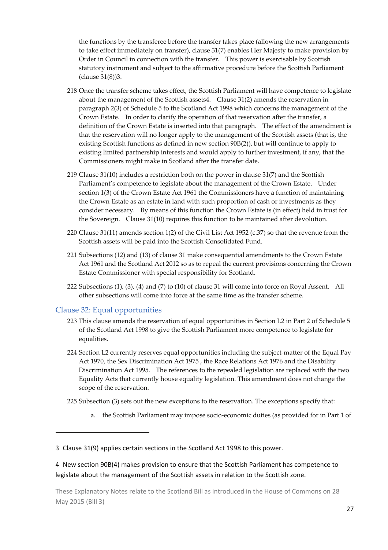the functions by the transferee before the transfer takes place (allowing the new arrangements to take effect immediately on transfer), clause 31(7) enables Her Majesty to make provision by Order in Council in connection with the transfer. This power is exercisable by Scottish statutory instrument and subject to the affirmative procedure before the Scottish Parliament (clause 31(8))3.

- 218 Once the transfer scheme takes effect, the Scottish Parliament will have competence to legislate about the management of the Scottish assets4. Clause 31(2) amends the reservation in paragraph 2(3) of Schedule 5 to the Scotland Act 1998 which concerns the management of the Crown Estate. In order to clarify the operation of that reservation after the transfer, a definition of the Crown Estate is inserted into that paragraph. The effect of the amendment is that the reservation will no longer apply to the management of the Scottish assets (that is, the existing Scottish functions as defined in new section 90B(2)), but will continue to apply to existing limited partnership interests and would apply to further investment, if any, that the Commissioners might make in Scotland after the transfer date.
- 219 Clause 31(10) includes a restriction both on the power in clause 31(7) and the Scottish Parliament's competence to legislate about the management of the Crown Estate. Under section 1(3) of the Crown Estate Act 1961 the Commissioners have a function of maintaining the Crown Estate as an estate in land with such proportion of cash or investments as they consider necessary. By means of this function the Crown Estate is (in effect) held in trust for the Sovereign. Clause 31(10) requires this function to be maintained after devolution.
- 220 Clause 31(11) amends section 1(2) of the Civil List Act 1952 (c.37) so that the revenue from the Scottish assets will be paid into the Scottish Consolidated Fund.
- 221 Subsections (12) and (13) of clause 31 make consequential amendments to the Crown Estate Act 1961 and the Scotland Act 2012 so as to repeal the current provisions concerning the Crown Estate Commissioner with special responsibility for Scotland.
- 222 Subsections (1), (3), (4) and (7) to (10) of clause 31 will come into force on Royal Assent. All other subsections will come into force at the same time as the transfer scheme.

#### Clause 32: Equal opportunities

- 223 This clause amends the reservation of equal opportunities in Section L2 in Part 2 of Schedule 5 of the Scotland Act 1998 to give the Scottish Parliament more competence to legislate for equalities.
- 224 Section L2 currently reserves equal opportunities including the subject-matter of the Equal Pay Act 1970, the Sex Discrimination Act 1975 , the Race Relations Act 1976 and the Disability Discrimination Act 1995. The references to the repealed legislation are replaced with the two Equality Acts that currently house equality legislation. This amendment does not change the scope of the reservation.
- 225 Subsection (3) sets out the new exceptions to the reservation. The exceptions specify that:
	- a. the Scottish Parliament may impose socio‐economic duties (as provided for in Part 1 of

3 Clause 31(9) applies certain sections in the Scotland Act 1998 to this power.

4 New section 90B(4) makes provision to ensure that the Scottish Parliament has competence to legislate about the management of the Scottish assets in relation to the Scottish zone.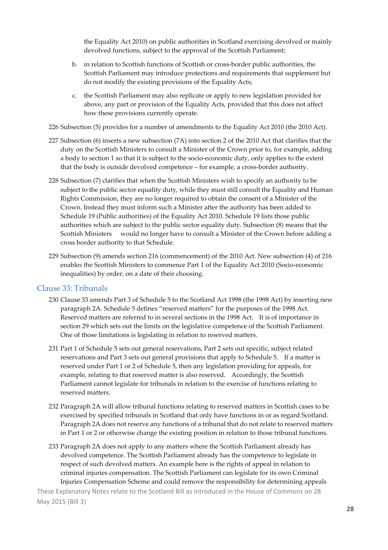the Equality Act 2010) on public authorities in Scotland exercising devolved or mainly devolved functions, subject to the approval of the Scottish Parliament;

- b. in relation to Scottish functions of Scottish or cross‐border public authorities, the Scottish Parliament may introduce protections and requirements that supplement but do not modify the existing provisions of the Equality Acts;
- c. the Scottish Parliament may also replicate or apply to new legislation provided for above, any part or provision of the Equality Acts, provided that this does not affect how these provisions currently operate.
- 226 Subsection (5) provides for a number of amendments to the Equality Act 2010 (the 2010 Act).
- 227 Subsection (6) inserts a new subsection (7A) into section 2 of the 2010 Act that clarifies that the duty on the Scottish Ministers to consult a Minister of the Crown prior to, for example, adding a body to section 1 so that it is subject to the socio-economic duty, only applies to the extent that the body is outside devolved competence – for example, a cross-border authority.
- 228 Subsection (7) clarifies that when the Scottish Ministers wish to specify an authority to be subject to the public sector equality duty, while they must still consult the Equality and Human Rights Commission, they are no longer required to obtain the consent of a Minister of the Crown. Instead they must inform such a Minister after the authority has been added to Schedule 19 (Public authorities) of the Equality Act 2010. Schedule 19 lists those public authorities which are subject to the public sector equality duty. Subsection (8) means that the Scottish Ministers would no longer have to consult a Minister of the Crown before adding a cross border authority to that Schedule.
- 229 Subsection (9) amends section 216 (commencement) of the 2010 Act. New subsection (4) of 216 enables the Scottish Ministers to commence Part 1 of the Equality Act 2010 (Socio‐economic inequalities) by order, on a date of their choosing.

#### Clause 33: Tribunals

- 230 Clause 33 amends Part 3 of Schedule 5 to the Scotland Act 1998 (the 1998 Act) by inserting new paragraph 2A. Schedule 5 defines "reserved matters" for the purposes of the 1998 Act. Reserved matters are referred to in several sections in the 1998 Act. It is of importance in section 29 which sets out the limits on the legislative competence of the Scottish Parliament. One of those limitations is legislating in relation to reserved matters.
- 231 Part 1 of Schedule 5 sets out general reservations, Part 2 sets out specific, subject related reservations and Part 3 sets out general provisions that apply to Schedule 5. If a matter is reserved under Part 1 or 2 of Schedule 5, then any legislation providing for appeals, for example, relating to that reserved matter is also reserved. Accordingly, the Scottish Parliament cannot legislate for tribunals in relation to the exercise of functions relating to reserved matters.
- 232 Paragraph 2A will allow tribunal functions relating to reserved matters in Scottish cases to be exercised by specified tribunals in Scotland that only have functions in or as regard Scotland. Paragraph 2A does not reserve any functions of a tribunal that do not relate to reserved matters in Part 1 or 2 or otherwise change the existing position in relation to those tribunal functions.
- 233 Paragraph 2A does not apply to any matters where the Scottish Parliament already has devolved competence. The Scottish Parliament already has the competence to legislate in respect of such devolved matters. An example here is the rights of appeal in relation to criminal injuries compensation. The Scottish Parliament can legislate for its own Criminal Injuries Compensation Scheme and could remove the responsibility for determining appeals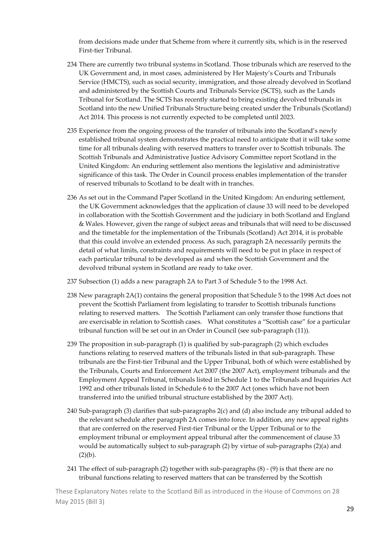from decisions made under that Scheme from where it currently sits, which is in the reserved First‐tier Tribunal.

- 234 There are currently two tribunal systems in Scotland. Those tribunals which are reserved to the UK Government and, in most cases, administered by Her Majesty's Courts and Tribunals Service (HMCTS), such as social security, immigration, and those already devolved in Scotland and administered by the Scottish Courts and Tribunals Service (SCTS), such as the Lands Tribunal for Scotland. The SCTS has recently started to bring existing devolved tribunals in Scotland into the new Unified Tribunals Structure being created under the Tribunals (Scotland) Act 2014. This process is not currently expected to be completed until 2023.
- 235 Experience from the ongoing process of the transfer of tribunals into the Scotland's newly established tribunal system demonstrates the practical need to anticipate that it will take some time for all tribunals dealing with reserved matters to transfer over to Scottish tribunals. The Scottish Tribunals and Administrative Justice Advisory Committee report Scotland in the United Kingdom: An enduring settlement also mentions the legislative and administrative significance of this task. The Order in Council process enables implementation of the transfer of reserved tribunals to Scotland to be dealt with in tranches.
- 236 As set out in the Command Paper Scotland in the United Kingdom: An enduring settlement, the UK Government acknowledges that the application of clause 33 will need to be developed in collaboration with the Scottish Government and the judiciary in both Scotland and England & Wales. However, given the range of subject areas and tribunals that will need to be discussed and the timetable for the implementation of the Tribunals (Scotland) Act 2014, it is probable that this could involve an extended process. As such, paragraph 2A necessarily permits the detail of what limits, constraints and requirements will need to be put in place in respect of each particular tribunal to be developed as and when the Scottish Government and the devolved tribunal system in Scotland are ready to take over.
- 237 Subsection (1) adds a new paragraph 2A to Part 3 of Schedule 5 to the 1998 Act.
- 238 New paragraph 2A(1) contains the general proposition that Schedule 5 to the 1998 Act does not prevent the Scottish Parliament from legislating to transfer to Scottish tribunals functions relating to reserved matters. The Scottish Parliament can only transfer those functions that are exercisable in relation to Scottish cases. What constitutes a "Scottish case" for a particular tribunal function will be set out in an Order in Council (see sub-paragraph (11)).
- 239 The proposition in sub‐paragraph (1) is qualified by sub‐paragraph (2) which excludes functions relating to reserved matters of the tribunals listed in that sub-paragraph. These tribunals are the First‐tier Tribunal and the Upper Tribunal, both of which were established by the Tribunals, Courts and Enforcement Act 2007 (the 2007 Act), employment tribunals and the Employment Appeal Tribunal, tribunals listed in Schedule 1 to the Tribunals and Inquiries Act 1992 and other tribunals listed in Schedule 6 to the 2007 Act (ones which have not been transferred into the unified tribunal structure established by the 2007 Act).
- 240 Sub‐paragraph (3) clarifies that sub‐paragraphs 2(c) and (d) also include any tribunal added to the relevant schedule after paragraph 2A comes into force. In addition, any new appeal rights that are conferred on the reserved First‐tier Tribunal or the Upper Tribunal or to the employment tribunal or employment appeal tribunal after the commencement of clause 33 would be automatically subject to sub-paragraph (2) by virtue of sub-paragraphs (2)(a) and  $(2)(b)$ .
- 241 The effect of sub-paragraph (2) together with sub-paragraphs  $(8)$  (9) is that there are no tribunal functions relating to reserved matters that can be transferred by the Scottish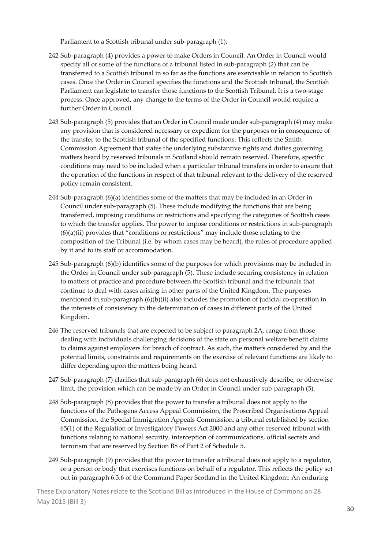Parliament to a Scottish tribunal under sub‐paragraph (1).

- 242 Sub‐paragraph (4) provides a power to make Orders in Council. An Order in Council would specify all or some of the functions of a tribunal listed in sub-paragraph (2) that can be transferred to a Scottish tribunal in so far as the functions are exercisable in relation to Scottish cases. Once the Order in Council specifies the functions and the Scottish tribunal, the Scottish Parliament can legislate to transfer those functions to the Scottish Tribunal. It is a two‐stage process. Once approved, any change to the terms of the Order in Council would require a further Order in Council.
- 243 Sub‐paragraph (5) provides that an Order in Council made under sub‐paragraph (4) may make any provision that is considered necessary or expedient for the purposes or in consequence of the transfer to the Scottish tribunal of the specified functions. This reflects the Smith Commission Agreement that states the underlying substantive rights and duties governing matters heard by reserved tribunals in Scotland should remain reserved. Therefore, specific conditions may need to be included when a particular tribunal transfers in order to ensure that the operation of the functions in respect of that tribunal relevant to the delivery of the reserved policy remain consistent.
- 244 Sub‐paragraph (6)(a) identifies some of the matters that may be included in an Order in Council under sub‐paragraph (5). These include modifying the functions that are being transferred, imposing conditions or restrictions and specifying the categories of Scottish cases to which the transfer applies. The power to impose conditions or restrictions in sub-paragraph (6)(a)(ii) provides that "conditions or restrictions" may include those relating to the composition of the Tribunal (i.e. by whom cases may be heard), the rules of procedure applied by it and to its staff or accommodation.
- 245 Sub‐paragraph (6)(b) identifies some of the purposes for which provisions may be included in the Order in Council under sub‐paragraph (5). These include securing consistency in relation to matters of practice and procedure between the Scottish tribunal and the tribunals that continue to deal with cases arising in other parts of the United Kingdom. The purposes mentioned in sub-paragraph  $(6)(b)(ii)$  also includes the promotion of judicial co-operation in the interests of consistency in the determination of cases in different parts of the United Kingdom.
- 246 The reserved tribunals that are expected to be subject to paragraph 2A, range from those dealing with individuals challenging decisions of the state on personal welfare benefit claims to claims against employers for breach of contract. As such, the matters considered by and the potential limits, constraints and requirements on the exercise of relevant functions are likely to differ depending upon the matters being heard.
- 247 Sub‐paragraph (7) clarifies that sub‐paragraph (6) does not exhaustively describe, or otherwise limit, the provision which can be made by an Order in Council under sub‐paragraph (5).
- 248 Sub‐paragraph (8) provides that the power to transfer a tribunal does not apply to the functions of the Pathogens Access Appeal Commission, the Proscribed Organisations Appeal Commission, the Special Immigration Appeals Commission, a tribunal established by section 65(1) of the Regulation of Investigatory Powers Act 2000 and any other reserved tribunal with functions relating to national security, interception of communications, official secrets and terrorism that are reserved by Section B8 of Part 2 of Schedule 5.
- 249 Sub‐paragraph (9) provides that the power to transfer a tribunal does not apply to a regulator, or a person or body that exercises functions on behalf of a regulator. This reflects the policy set out in paragraph 6.3.6 of the Command Paper Scotland in the United Kingdom: An enduring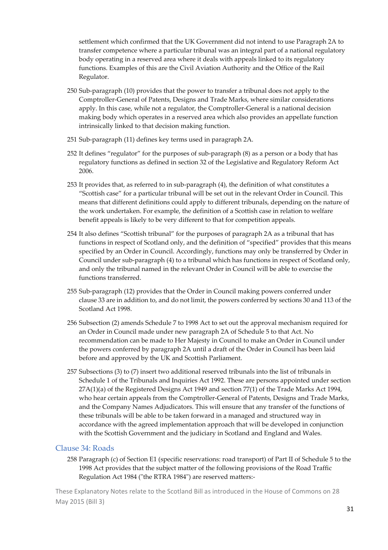settlement which confirmed that the UK Government did not intend to use Paragraph 2A to transfer competence where a particular tribunal was an integral part of a national regulatory body operating in a reserved area where it deals with appeals linked to its regulatory functions. Examples of this are the Civil Aviation Authority and the Office of the Rail Regulator.

- 250 Sub‐paragraph (10) provides that the power to transfer a tribunal does not apply to the Comptroller‐General of Patents, Designs and Trade Marks, where similar considerations apply. In this case, while not a regulator, the Comptroller‐General is a national decision making body which operates in a reserved area which also provides an appellate function intrinsically linked to that decision making function.
- 251 Sub‐paragraph (11) defines key terms used in paragraph 2A.
- 252 It defines "regulator" for the purposes of sub‐paragraph (8) as a person or a body that has regulatory functions as defined in section 32 of the Legislative and Regulatory Reform Act 2006.
- 253 It provides that, as referred to in sub‐paragraph (4), the definition of what constitutes a "Scottish case" for a particular tribunal will be set out in the relevant Order in Council. This means that different definitions could apply to different tribunals, depending on the nature of the work undertaken. For example, the definition of a Scottish case in relation to welfare benefit appeals is likely to be very different to that for competition appeals.
- 254 It also defines "Scottish tribunal" for the purposes of paragraph 2A as a tribunal that has functions in respect of Scotland only, and the definition of "specified" provides that this means specified by an Order in Council. Accordingly, functions may only be transferred by Order in Council under sub‐paragraph (4) to a tribunal which has functions in respect of Scotland only, and only the tribunal named in the relevant Order in Council will be able to exercise the functions transferred.
- 255 Sub‐paragraph (12) provides that the Order in Council making powers conferred under clause 33 are in addition to, and do not limit, the powers conferred by sections 30 and 113 of the Scotland Act 1998.
- 256 Subsection (2) amends Schedule 7 to 1998 Act to set out the approval mechanism required for an Order in Council made under new paragraph 2A of Schedule 5 to that Act. No recommendation can be made to Her Majesty in Council to make an Order in Council under the powers conferred by paragraph 2A until a draft of the Order in Council has been laid before and approved by the UK and Scottish Parliament.
- 257 Subsections (3) to (7) insert two additional reserved tribunals into the list of tribunals in Schedule 1 of the Tribunals and Inquiries Act 1992. These are persons appointed under section 27A(1)(a) of the Registered Designs Act 1949 and section 77(1) of the Trade Marks Act 1994, who hear certain appeals from the Comptroller-General of Patents, Designs and Trade Marks, and the Company Names Adjudicators. This will ensure that any transfer of the functions of these tribunals will be able to be taken forward in a managed and structured way in accordance with the agreed implementation approach that will be developed in conjunction with the Scottish Government and the judiciary in Scotland and England and Wales.

#### Clause 34: Roads

258 Paragraph (c) of Section E1 (specific reservations: road transport) of Part II of Schedule 5 to the 1998 Act provides that the subject matter of the following provisions of the Road Traffic Regulation Act 1984 ("the RTRA 1984") are reserved matters:-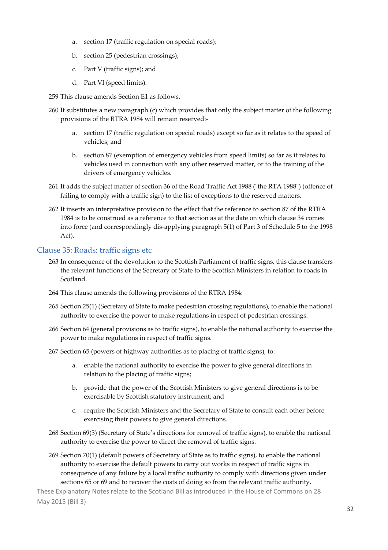- a. section 17 (traffic regulation on special roads);
- b. section 25 (pedestrian crossings);
- c. Part V (traffic signs); and
- d. Part VI (speed limits).
- 259 This clause amends Section E1 as follows.
- 260 It substitutes a new paragraph (c) which provides that only the subject matter of the following provisions of the RTRA 1984 will remain reserved:‐
	- a. section 17 (traffic regulation on special roads) except so far as it relates to the speed of vehicles; and
	- b. section 87 (exemption of emergency vehicles from speed limits) so far as it relates to vehicles used in connection with any other reserved matter, or to the training of the drivers of emergency vehicles.
- 261 It adds the subject matter of section 36 of the Road Traffic Act 1988 ("the RTA 1988") (offence of failing to comply with a traffic sign) to the list of exceptions to the reserved matters.
- 262 It inserts an interpretative provision to the effect that the reference to section 87 of the RTRA 1984 is to be construed as a reference to that section as at the date on which clause 34 comes into force (and correspondingly dis‐applying paragraph 5(1) of Part 3 of Schedule 5 to the 1998 Act).

#### Clause 35: Roads: traffic signs etc

- 263 In consequence of the devolution to the Scottish Parliament of traffic signs, this clause transfers the relevant functions of the Secretary of State to the Scottish Ministers in relation to roads in Scotland.
- 264 This clause amends the following provisions of the RTRA 1984:
- 265 Section 25(1) (Secretary of State to make pedestrian crossing regulations), to enable the national authority to exercise the power to make regulations in respect of pedestrian crossings.
- 266 Section 64 (general provisions as to traffic signs), to enable the national authority to exercise the power to make regulations in respect of traffic signs.
- 267 Section 65 (powers of highway authorities as to placing of traffic signs), to:
	- a. enable the national authority to exercise the power to give general directions in relation to the placing of traffic signs;
	- b. provide that the power of the Scottish Ministers to give general directions is to be exercisable by Scottish statutory instrument; and
	- c. require the Scottish Ministers and the Secretary of State to consult each other before exercising their powers to give general directions.
- 268 Section 69(3) (Secretary of State's directions for removal of traffic signs), to enable the national authority to exercise the power to direct the removal of traffic signs.
- 269 Section 70(1) (default powers of Secretary of State as to traffic signs), to enable the national authority to exercise the default powers to carry out works in respect of traffic signs in consequence of any failure by a local traffic authority to comply with directions given under sections 65 or 69 and to recover the costs of doing so from the relevant traffic authority.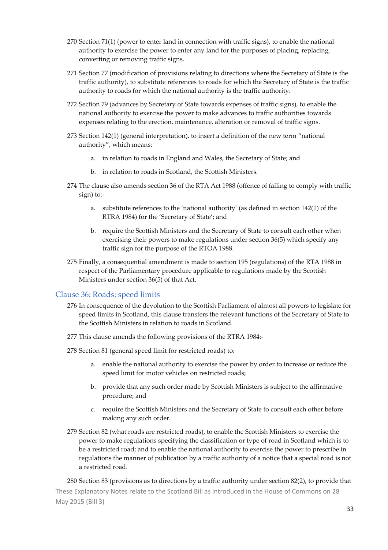- 270 Section 71(1) (power to enter land in connection with traffic signs), to enable the national authority to exercise the power to enter any land for the purposes of placing, replacing, converting or removing traffic signs.
- 271 Section 77 (modification of provisions relating to directions where the Secretary of State is the traffic authority), to substitute references to roads for which the Secretary of State is the traffic authority to roads for which the national authority is the traffic authority.
- 272 Section 79 (advances by Secretary of State towards expenses of traffic signs), to enable the national authority to exercise the power to make advances to traffic authorities towards expenses relating to the erection, maintenance, alteration or removal of traffic signs.
- 273 Section 142(1) (general interpretation), to insert a definition of the new term "national authority", which means:
	- a. in relation to roads in England and Wales, the Secretary of State; and
	- b. in relation to roads in Scotland, the Scottish Ministers.
- 274 The clause also amends section 36 of the RTA Act 1988 (offence of failing to comply with traffic sign) to:‐
	- a. substitute references to the 'national authority' (as defined in section 142(1) of the RTRA 1984) for the 'Secretary of State'; and
	- b. require the Scottish Ministers and the Secretary of State to consult each other when exercising their powers to make regulations under section 36(5) which specify any traffic sign for the purpose of the RTOA 1988.
- 275 Finally, a consequential amendment is made to section 195 (regulations) of the RTA 1988 in respect of the Parliamentary procedure applicable to regulations made by the Scottish Ministers under section 36(5) of that Act.

#### Clause 36: Roads: speed limits

- 276 In consequence of the devolution to the Scottish Parliament of almost all powers to legislate for speed limits in Scotland, this clause transfers the relevant functions of the Secretary of State to the Scottish Ministers in relation to roads in Scotland.
- 277 This clause amends the following provisions of the RTRA 1984:‐
- 278 Section 81 (general speed limit for restricted roads) to:
	- a. enable the national authority to exercise the power by order to increase or reduce the speed limit for motor vehicles on restricted roads;
	- b. provide that any such order made by Scottish Ministers is subject to the affirmative procedure; and
	- c. require the Scottish Ministers and the Secretary of State to consult each other before making any such order.
- 279 Section 82 (what roads are restricted roads), to enable the Scottish Ministers to exercise the power to make regulations specifying the classification or type of road in Scotland which is to be a restricted road; and to enable the national authority to exercise the power to prescribe in regulations the manner of publication by a traffic authority of a notice that a special road is not a restricted road.

These Explanatory Notes relate to the Scotland Bill as introduced in the House of Commons on 28 May 2015 (Bill 3) 280 Section 83 (provisions as to directions by a traffic authority under section 82(2), to provide that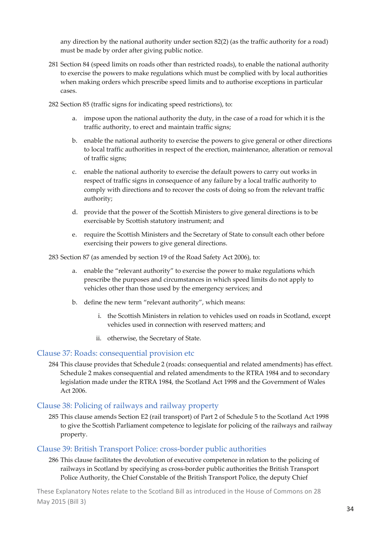any direction by the national authority under section 82(2) (as the traffic authority for a road) must be made by order after giving public notice.

- 281 Section 84 (speed limits on roads other than restricted roads), to enable the national authority to exercise the powers to make regulations which must be complied with by local authorities when making orders which prescribe speed limits and to authorise exceptions in particular cases.
- 282 Section 85 (traffic signs for indicating speed restrictions), to:
	- a. impose upon the national authority the duty, in the case of a road for which it is the traffic authority, to erect and maintain traffic signs;
	- b. enable the national authority to exercise the powers to give general or other directions to local traffic authorities in respect of the erection, maintenance, alteration or removal of traffic signs;
	- c. enable the national authority to exercise the default powers to carry out works in respect of traffic signs in consequence of any failure by a local traffic authority to comply with directions and to recover the costs of doing so from the relevant traffic authority;
	- d. provide that the power of the Scottish Ministers to give general directions is to be exercisable by Scottish statutory instrument; and
	- e. require the Scottish Ministers and the Secretary of State to consult each other before exercising their powers to give general directions.

283 Section 87 (as amended by section 19 of the Road Safety Act 2006), to:

- a. enable the "relevant authority" to exercise the power to make regulations which prescribe the purposes and circumstances in which speed limits do not apply to vehicles other than those used by the emergency services; and
- b. define the new term "relevant authority", which means:
	- i. the Scottish Ministers in relation to vehicles used on roads in Scotland, except vehicles used in connection with reserved matters; and
	- ii. otherwise, the Secretary of State.

#### Clause 37: Roads: consequential provision etc

284 This clause provides that Schedule 2 (roads: consequential and related amendments) has effect. Schedule 2 makes consequential and related amendments to the RTRA 1984 and to secondary legislation made under the RTRA 1984, the Scotland Act 1998 and the Government of Wales Act 2006.

#### Clause 38: Policing of railways and railway property

285 This clause amends Section E2 (rail transport) of Part 2 of Schedule 5 to the Scotland Act 1998 to give the Scottish Parliament competence to legislate for policing of the railways and railway property.

#### Clause 39: British Transport Police: cross‐border public authorities

286 This clause facilitates the devolution of executive competence in relation to the policing of railways in Scotland by specifying as cross-border public authorities the British Transport Police Authority, the Chief Constable of the British Transport Police, the deputy Chief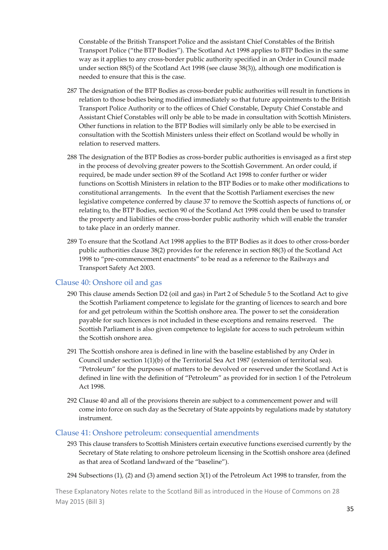Constable of the British Transport Police and the assistant Chief Constables of the British Transport Police ("the BTP Bodies"). The Scotland Act 1998 applies to BTP Bodies in the same way as it applies to any cross‐border public authority specified in an Order in Council made under section 88(5) of the Scotland Act 1998 (see clause 38(3)), although one modification is needed to ensure that this is the case.

- 287 The designation of the BTP Bodies as cross-border public authorities will result in functions in relation to those bodies being modified immediately so that future appointments to the British Transport Police Authority or to the offices of Chief Constable, Deputy Chief Constable and Assistant Chief Constables will only be able to be made in consultation with Scottish Ministers. Other functions in relation to the BTP Bodies will similarly only be able to be exercised in consultation with the Scottish Ministers unless their effect on Scotland would be wholly in relation to reserved matters.
- 288 The designation of the BTP Bodies as cross‐border public authorities is envisaged as a first step in the process of devolving greater powers to the Scottish Government. An order could, if required, be made under section 89 of the Scotland Act 1998 to confer further or wider functions on Scottish Ministers in relation to the BTP Bodies or to make other modifications to constitutional arrangements. In the event that the Scottish Parliament exercises the new legislative competence conferred by clause 37 to remove the Scottish aspects of functions of, or relating to, the BTP Bodies, section 90 of the Scotland Act 1998 could then be used to transfer the property and liabilities of the cross‐border public authority which will enable the transfer to take place in an orderly manner.
- 289 To ensure that the Scotland Act 1998 applies to the BTP Bodies as it does to other cross-border public authorities clause 38(2) provides for the reference in section 88(3) of the Scotland Act 1998 to "pre-commencement enactments" to be read as a reference to the Railways and Transport Safety Act 2003.

#### Clause 40: Onshore oil and gas

- 290 This clause amends Section D2 (oil and gas) in Part 2 of Schedule 5 to the Scotland Act to give the Scottish Parliament competence to legislate for the granting of licences to search and bore for and get petroleum within the Scottish onshore area. The power to set the consideration payable for such licences is not included in these exceptions and remains reserved. The Scottish Parliament is also given competence to legislate for access to such petroleum within the Scottish onshore area.
- 291 The Scottish onshore area is defined in line with the baseline established by any Order in Council under section 1(1)(b) of the Territorial Sea Act 1987 (extension of territorial sea). "Petroleum" for the purposes of matters to be devolved or reserved under the Scotland Act is defined in line with the definition of "Petroleum" as provided for in section 1 of the Petroleum Act 1998.
- 292 Clause 40 and all of the provisions therein are subject to a commencement power and will come into force on such day as the Secretary of State appoints by regulations made by statutory instrument.

#### Clause 41: Onshore petroleum: consequential amendments

293 This clause transfers to Scottish Ministers certain executive functions exercised currently by the Secretary of State relating to onshore petroleum licensing in the Scottish onshore area (defined as that area of Scotland landward of the "baseline").

294 Subsections (1), (2) and (3) amend section 3(1) of the Petroleum Act 1998 to transfer, from the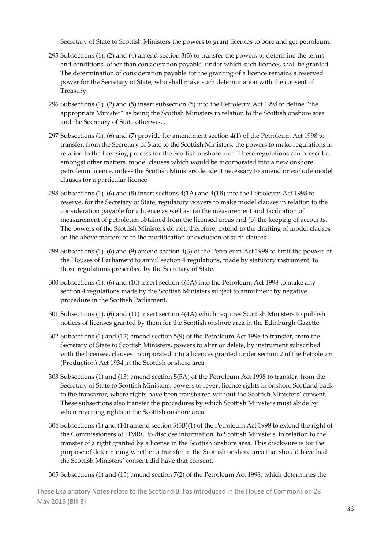Secretary of State to Scottish Ministers the powers to grant licences to bore and get petroleum.

- 295 Subsections (1), (2) and (4) amend section 3(3) to transfer the powers to determine the terms and conditions, other than consideration payable, under which such licences shall be granted. The determination of consideration payable for the granting of a licence remains a reserved power for the Secretary of State, who shall make such determination with the consent of Treasury.
- 296 Subsections (1), (2) and (5) insert subsection (5) into the Petroleum Act 1998 to define "the appropriate Minister" as being the Scottish Ministers in relation to the Scottish onshore area and the Secretary of State otherwise.
- 297 Subsections (1), (6) and (7) provide for amendment section 4(1) of the Petroleum Act 1998 to transfer, from the Secretary of State to the Scottish Ministers, the powers to make regulations in relation to the licensing process for the Scottish onshore area. These regulations can prescribe, amongst other matters, model clauses which would be incorporated into a new onshore petroleum licence, unless the Scottish Ministers decide it necessary to amend or exclude model clauses for a particular licence.
- 298 Subsections (1), (6) and (8) insert sections 4(1A) and 4(1B) into the Petroleum Act 1998 to reserve, for the Secretary of State, regulatory powers to make model clauses in relation to the consideration payable for a licence as well as: (a) the measurement and facilitation of measurement of petroleum obtained from the licensed areas and (b) the keeping of accounts. The powers of the Scottish Ministers do not, therefore, extend to the drafting of model clauses on the above matters or to the modification or exclusion of such clauses.
- 299 Subsections (1), (6) and (9) amend section 4(3) of the Petroleum Act 1998 to limit the powers of the Houses of Parliament to annul section 4 regulations, made by statutory instrument, to those regulations prescribed by the Secretary of State.
- 300 Subsections (1), (6) and (10) insert section 4(3A) into the Petroleum Act 1998 to make any section 4 regulations made by the Scottish Ministers subject to annulment by negative procedure in the Scottish Parliament.
- 301 Subsections (1), (6) and (11) insert section 4(4A) which requires Scottish Ministers to publish notices of licenses granted by them for the Scottish onshore area in the Edinburgh Gazette.
- 302 Subsections (1) and (12) amend section 5(9) of the Petroleum Act 1998 to transfer, from the Secretary of State to Scottish Ministers, powers to alter or delete, by instrument subscribed with the licensee, clauses incorporated into a licences granted under section 2 of the Petroleum (Production) Act 1934 in the Scottish onshore area.
- 303 Subsections (1) and (13) amend section 5(5A) of the Petroleum Act 1998 to transfer, from the Secretary of State to Scottish Ministers, powers to revert licence rights in onshore Scotland back to the transferor, where rights have been transferred without the Scottish Ministers' consent. These subsections also transfer the procedures by which Scottish Ministers must abide by when reverting rights in the Scottish onshore area.
- 304 Subsections (1) and (14) amend section 5(5B)(1) of the Petroleum Act 1998 to extend the right of the Commissioners of HMRC to disclose information, to Scottish Ministers, in relation to the transfer of a right granted by a license in the Scottish onshore area. This disclosure is for the purpose of determining whether a transfer in the Scottish onshore area that should have had the Scottish Ministers' consent did have that consent.
- 305 Subsections (1) and (15) amend section 7(2) of the Petroleum Act 1998, which determines the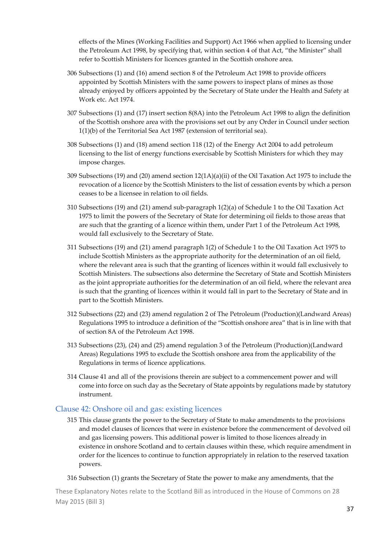effects of the Mines (Working Facilities and Support) Act 1966 when applied to licensing under the Petroleum Act 1998, by specifying that, within section 4 of that Act, "the Minister" shall refer to Scottish Ministers for licences granted in the Scottish onshore area.

- 306 Subsections (1) and (16) amend section 8 of the Petroleum Act 1998 to provide officers appointed by Scottish Ministers with the same powers to inspect plans of mines as those already enjoyed by officers appointed by the Secretary of State under the Health and Safety at Work etc. Act 1974.
- 307 Subsections (1) and (17) insert section 8(8A) into the Petroleum Act 1998 to align the definition of the Scottish onshore area with the provisions set out by any Order in Council under section 1(1)(b) of the Territorial Sea Act 1987 (extension of territorial sea).
- 308 Subsections (1) and (18) amend section 118 (12) of the Energy Act 2004 to add petroleum licensing to the list of energy functions exercisable by Scottish Ministers for which they may impose charges.
- 309 Subsections (19) and (20) amend section 12(1A)(a)(ii) of the Oil Taxation Act 1975 to include the revocation of a licence by the Scottish Ministers to the list of cessation events by which a person ceases to be a licensee in relation to oil fields.
- 310 Subsections (19) and (21) amend sub‐paragraph 1(2)(a) of Schedule 1 to the Oil Taxation Act 1975 to limit the powers of the Secretary of State for determining oil fields to those areas that are such that the granting of a licence within them, under Part 1 of the Petroleum Act 1998, would fall exclusively to the Secretary of State.
- 311 Subsections (19) and (21) amend paragraph 1(2) of Schedule 1 to the Oil Taxation Act 1975 to include Scottish Ministers as the appropriate authority for the determination of an oil field, where the relevant area is such that the granting of licences within it would fall exclusively to Scottish Ministers. The subsections also determine the Secretary of State and Scottish Ministers as the joint appropriate authorities for the determination of an oil field, where the relevant area is such that the granting of licences within it would fall in part to the Secretary of State and in part to the Scottish Ministers.
- 312 Subsections (22) and (23) amend regulation 2 of The Petroleum (Production)(Landward Areas) Regulations 1995 to introduce a definition of the "Scottish onshore area" that is in line with that of section 8A of the Petroleum Act 1998.
- 313 Subsections (23), (24) and (25) amend regulation 3 of the Petroleum (Production)(Landward Areas) Regulations 1995 to exclude the Scottish onshore area from the applicability of the Regulations in terms of licence applications.
- 314 Clause 41 and all of the provisions therein are subject to a commencement power and will come into force on such day as the Secretary of State appoints by regulations made by statutory instrument.

#### Clause 42: Onshore oil and gas: existing licences

315 This clause grants the power to the Secretary of State to make amendments to the provisions and model clauses of licences that were in existence before the commencement of devolved oil and gas licensing powers. This additional power is limited to those licences already in existence in onshore Scotland and to certain clauses within these, which require amendment in order for the licences to continue to function appropriately in relation to the reserved taxation powers.

#### 316 Subsection (1) grants the Secretary of State the power to make any amendments, that the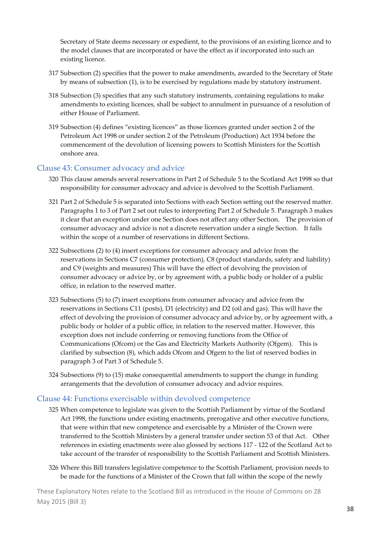Secretary of State deems necessary or expedient, to the provisions of an existing licence and to the model clauses that are incorporated or have the effect as if incorporated into such an existing licence.

- 317 Subsection (2) specifies that the power to make amendments, awarded to the Secretary of State by means of subsection (1), is to be exercised by regulations made by statutory instrument.
- 318 Subsection (3) specifies that any such statutory instruments, containing regulations to make amendments to existing licences, shall be subject to annulment in pursuance of a resolution of either House of Parliament.
- 319 Subsection (4) defines "existing licences" as those licences granted under section 2 of the Petroleum Act 1998 or under section 2 of the Petroleum (Production) Act 1934 before the commencement of the devolution of licensing powers to Scottish Ministers for the Scottish onshore area.

#### Clause 43: Consumer advocacy and advice

- 320 This clause amends several reservations in Part 2 of Schedule 5 to the Scotland Act 1998 so that responsibility for consumer advocacy and advice is devolved to the Scottish Parliament.
- 321 Part 2 of Schedule 5 is separated into Sections with each Section setting out the reserved matter. Paragraphs 1 to 3 of Part 2 set out rules to interpreting Part 2 of Schedule 5. Paragraph 3 makes it clear that an exception under one Section does not affect any other Section. The provision of consumer advocacy and advice is not a discrete reservation under a single Section. It falls within the scope of a number of reservations in different Sections.
- 322 Subsections (2) to (4) insert exceptions for consumer advocacy and advice from the reservations in Sections C7 (consumer protection), C8 (product standards, safety and liability) and C9 (weights and measures) This will have the effect of devolving the provision of consumer advocacy or advice by, or by agreement with, a public body or holder of a public office, in relation to the reserved matter.
- 323 Subsections (5) to (7) insert exceptions from consumer advocacy and advice from the reservations in Sections C11 (posts), D1 (electricity) and D2 (oil and gas). This will have the effect of devolving the provision of consumer advocacy and advice by, or by agreement with, a public body or holder of a public office, in relation to the reserved matter. However, this exception does not include conferring or removing functions from the Office of Communications (Ofcom) or the Gas and Electricity Markets Authority (Ofgem). This is clarified by subsection (8), which adds Ofcom and Ofgem to the list of reserved bodies in paragraph 3 of Part 3 of Schedule 5.
- 324 Subsections (9) to (15) make consequential amendments to support the change in funding arrangements that the devolution of consumer advocacy and advice requires.

#### Clause 44: Functions exercisable within devolved competence

- 325 When competence to legislate was given to the Scottish Parliament by virtue of the Scotland Act 1998, the functions under existing enactments, prerogative and other executive functions, that were within that new competence and exercisable by a Minister of the Crown were transferred to the Scottish Ministers by a general transfer under section 53 of that Act. Other references in existing enactments were also glossed by sections 117 ‐ 122 of the Scotland Act to take account of the transfer of responsibility to the Scottish Parliament and Scottish Ministers.
- 326 Where this Bill transfers legislative competence to the Scottish Parliament, provision needs to be made for the functions of a Minister of the Crown that fall within the scope of the newly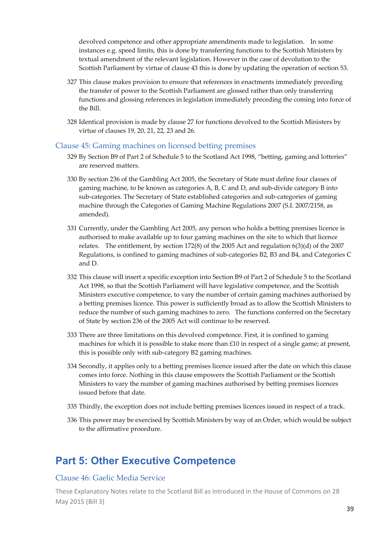devolved competence and other appropriate amendments made to legislation. In some instances e.g. speed limits, this is done by transferring functions to the Scottish Ministers by textual amendment of the relevant legislation. However in the case of devolution to the Scottish Parliament by virtue of clause 43 this is done by updating the operation of section 53.

- 327 This clause makes provision to ensure that references in enactments immediately preceding the transfer of power to the Scottish Parliament are glossed rather than only transferring functions and glossing references in legislation immediately preceding the coming into force of the Bill.
- 328 Identical provision is made by clause 27 for functions devolved to the Scottish Ministers by virtue of clauses 19, 20, 21, 22, 23 and 26.

#### Clause 45: Gaming machines on licensed betting premises

- 329 By Section B9 of Part 2 of Schedule 5 to the Scotland Act 1998, "betting, gaming and lotteries" are reserved matters.
- 330 By section 236 of the Gambling Act 2005, the Secretary of State must define four classes of gaming machine, to be known as categories A, B, C and D, and sub‐divide category B into sub‐categories. The Secretary of State established categories and sub‐categories of gaming machine through the Categories of Gaming Machine Regulations 2007 (S.I. 2007/2158, as amended).
- 331 Currently, under the Gambling Act 2005, any person who holds a betting premises licence is authorised to make available up to four gaming machines on the site to which that licence relates. The entitlement, by section 172(8) of the 2005 Act and regulation 6(3)(d) of the 2007 Regulations, is confined to gaming machines of sub‐categories B2, B3 and B4, and Categories C and D.
- 332 This clause will insert a specific exception into Section B9 of Part 2 of Schedule 5 to the Scotland Act 1998, so that the Scottish Parliament will have legislative competence, and the Scottish Ministers executive competence, to vary the number of certain gaming machines authorised by a betting premises licence. This power is sufficiently broad as to allow the Scottish Ministers to reduce the number of such gaming machines to zero. The functions conferred on the Secretary of State by section 236 of the 2005 Act will continue to be reserved.
- 333 There are three limitations on this devolved competence. First, it is confined to gaming machines for which it is possible to stake more than £10 in respect of a single game; at present, this is possible only with sub‐category B2 gaming machines.
- 334 Secondly, it applies only to a betting premises licence issued after the date on which this clause comes into force. Nothing in this clause empowers the Scottish Parliament or the Scottish Ministers to vary the number of gaming machines authorised by betting premises licences issued before that date.
- 335 Thirdly, the exception does not include betting premises licences issued in respect of a track.
- 336 This power may be exercised by Scottish Ministers by way of an Order, which would be subject to the affirmative procedure.

### **Part 5: Other Executive Competence**

#### Clause 46: Gaelic Media Service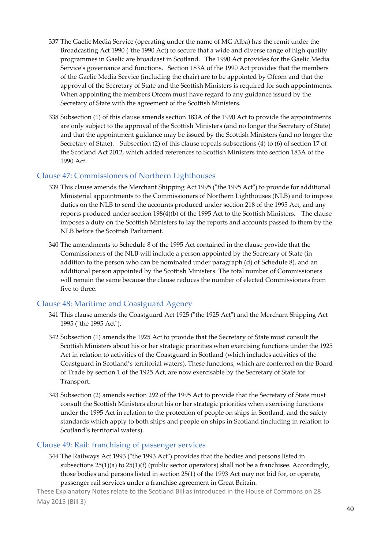- 337 The Gaelic Media Service (operating under the name of MG Alba) has the remit under the Broadcasting Act 1990 ("the 1990 Act) to secure that a wide and diverse range of high quality programmes in Gaelic are broadcast in Scotland. The 1990 Act provides for the Gaelic Media Service's governance and functions. Section 183A of the 1990 Act provides that the members of the Gaelic Media Service (including the chair) are to be appointed by Ofcom and that the approval of the Secretary of State and the Scottish Ministers is required for such appointments. When appointing the members Ofcom must have regard to any guidance issued by the Secretary of State with the agreement of the Scottish Ministers.
- 338 Subsection (1) of this clause amends section 183A of the 1990 Act to provide the appointments are only subject to the approval of the Scottish Ministers (and no longer the Secretary of State) and that the appointment guidance may be issued by the Scottish Ministers (and no longer the Secretary of State). Subsection (2) of this clause repeals subsections (4) to (6) of section 17 of the Scotland Act 2012, which added references to Scottish Ministers into section 183A of the 1990 Act.

#### Clause 47: Commissioners of Northern Lighthouses

- 339 This clause amends the Merchant Shipping Act 1995 ("the 1995 Act") to provide for additional Ministerial appointments to the Commissioners of Northern Lighthouses (NLB) and to impose duties on the NLB to send the accounts produced under section 218 of the 1995 Act, and any reports produced under section 198(4)(b) of the 1995 Act to the Scottish Ministers. The clause imposes a duty on the Scottish Ministers to lay the reports and accounts passed to them by the NLB before the Scottish Parliament.
- 340 The amendments to Schedule 8 of the 1995 Act contained in the clause provide that the Commissioners of the NLB will include a person appointed by the Secretary of State (in addition to the person who can be nominated under paragraph (d) of Schedule 8), and an additional person appointed by the Scottish Ministers. The total number of Commissioners will remain the same because the clause reduces the number of elected Commissioners from five to three.

#### Clause 48: Maritime and Coastguard Agency

- 341 This clause amends the Coastguard Act 1925 ("the 1925 Act") and the Merchant Shipping Act 1995 ("the 1995 Act").
- 342 Subsection (1) amends the 1925 Act to provide that the Secretary of State must consult the Scottish Ministers about his or her strategic priorities when exercising functions under the 1925 Act in relation to activities of the Coastguard in Scotland (which includes activities of the Coastguard in Scotland's territorial waters). These functions, which are conferred on the Board of Trade by section 1 of the 1925 Act, are now exercisable by the Secretary of State for Transport.
- 343 Subsection (2) amends section 292 of the 1995 Act to provide that the Secretary of State must consult the Scottish Ministers about his or her strategic priorities when exercising functions under the 1995 Act in relation to the protection of people on ships in Scotland, and the safety standards which apply to both ships and people on ships in Scotland (including in relation to Scotland's territorial waters).

#### Clause 49: Rail: franchising of passenger services

344 The Railways Act 1993 ("the 1993 Act") provides that the bodies and persons listed in subsections  $25(1)(a)$  to  $25(1)(f)$  (public sector operators) shall not be a franchisee. Accordingly, those bodies and persons listed in section 25(1) of the 1993 Act may not bid for, or operate, passenger rail services under a franchise agreement in Great Britain.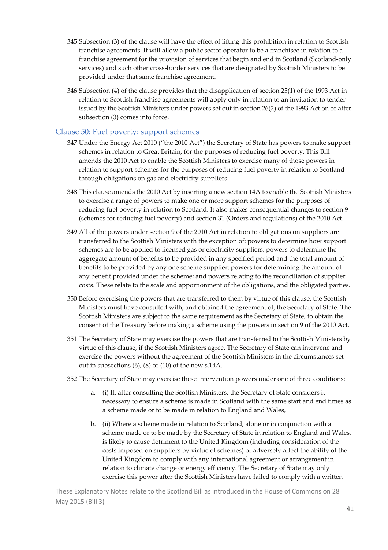- 345 Subsection (3) of the clause will have the effect of lifting this prohibition in relation to Scottish franchise agreements. It will allow a public sector operator to be a franchisee in relation to a franchise agreement for the provision of services that begin and end in Scotland (Scotland‐only services) and such other cross-border services that are designated by Scottish Ministers to be provided under that same franchise agreement.
- 346 Subsection (4) of the clause provides that the disapplication of section 25(1) of the 1993 Act in relation to Scottish franchise agreements will apply only in relation to an invitation to tender issued by the Scottish Ministers under powers set out in section 26(2) of the 1993 Act on or after subsection (3) comes into force.

#### Clause 50: Fuel poverty: support schemes

- 347 Under the Energy Act 2010 ("the 2010 Act") the Secretary of State has powers to make support schemes in relation to Great Britain, for the purposes of reducing fuel poverty. This Bill amends the 2010 Act to enable the Scottish Ministers to exercise many of those powers in relation to support schemes for the purposes of reducing fuel poverty in relation to Scotland through obligations on gas and electricity suppliers.
- 348 This clause amends the 2010 Act by inserting a new section 14A to enable the Scottish Ministers to exercise a range of powers to make one or more support schemes for the purposes of reducing fuel poverty in relation to Scotland. It also makes consequential changes to section 9 (schemes for reducing fuel poverty) and section 31 (Orders and regulations) of the 2010 Act.
- 349 All of the powers under section 9 of the 2010 Act in relation to obligations on suppliers are transferred to the Scottish Ministers with the exception of: powers to determine how support schemes are to be applied to licensed gas or electricity suppliers; powers to determine the aggregate amount of benefits to be provided in any specified period and the total amount of benefits to be provided by any one scheme supplier; powers for determining the amount of any benefit provided under the scheme; and powers relating to the reconciliation of supplier costs. These relate to the scale and apportionment of the obligations, and the obligated parties.
- 350 Before exercising the powers that are transferred to them by virtue of this clause, the Scottish Ministers must have consulted with, and obtained the agreement of, the Secretary of State. The Scottish Ministers are subject to the same requirement as the Secretary of State, to obtain the consent of the Treasury before making a scheme using the powers in section 9 of the 2010 Act.
- 351 The Secretary of State may exercise the powers that are transferred to the Scottish Ministers by virtue of this clause, if the Scottish Ministers agree. The Secretary of State can intervene and exercise the powers without the agreement of the Scottish Ministers in the circumstances set out in subsections (6), (8) or (10) of the new s.14A.
- 352 The Secretary of State may exercise these intervention powers under one of three conditions:
	- a. (i) If, after consulting the Scottish Ministers, the Secretary of State considers it necessary to ensure a scheme is made in Scotland with the same start and end times as a scheme made or to be made in relation to England and Wales,
	- b. (ii) Where a scheme made in relation to Scotland, alone or in conjunction with a scheme made or to be made by the Secretary of State in relation to England and Wales, is likely to cause detriment to the United Kingdom (including consideration of the costs imposed on suppliers by virtue of schemes) or adversely affect the ability of the United Kingdom to comply with any international agreement or arrangement in relation to climate change or energy efficiency. The Secretary of State may only exercise this power after the Scottish Ministers have failed to comply with a written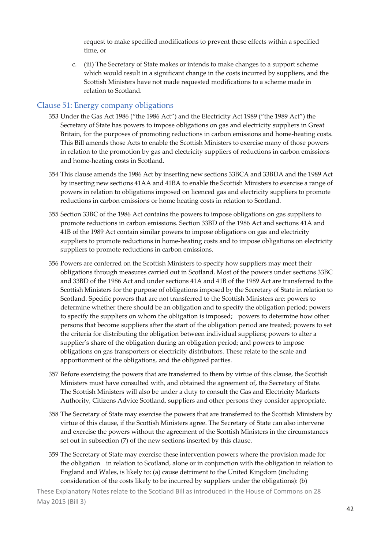request to make specified modifications to prevent these effects within a specified time, or

c. (iii) The Secretary of State makes or intends to make changes to a support scheme which would result in a significant change in the costs incurred by suppliers, and the Scottish Ministers have not made requested modifications to a scheme made in relation to Scotland.

#### Clause 51: Energy company obligations

- 353 Under the Gas Act 1986 ("the 1986 Act") and the Electricity Act 1989 ("the 1989 Act") the Secretary of State has powers to impose obligations on gas and electricity suppliers in Great Britain, for the purposes of promoting reductions in carbon emissions and home-heating costs. This Bill amends those Acts to enable the Scottish Ministers to exercise many of those powers in relation to the promotion by gas and electricity suppliers of reductions in carbon emissions and home‐heating costs in Scotland.
- 354 This clause amends the 1986 Act by inserting new sections 33BCA and 33BDA and the 1989 Act by inserting new sections 41AA and 41BA to enable the Scottish Ministers to exercise a range of powers in relation to obligations imposed on licenced gas and electricity suppliers to promote reductions in carbon emissions or home heating costs in relation to Scotland.
- 355 Section 33BC of the 1986 Act contains the powers to impose obligations on gas suppliers to promote reductions in carbon emissions. Section 33BD of the 1986 Act and sections 41A and 41B of the 1989 Act contain similar powers to impose obligations on gas and electricity suppliers to promote reductions in home-heating costs and to impose obligations on electricity suppliers to promote reductions in carbon emissions.
- 356 Powers are conferred on the Scottish Ministers to specify how suppliers may meet their obligations through measures carried out in Scotland. Most of the powers under sections 33BC and 33BD of the 1986 Act and under sections 41A and 41B of the 1989 Act are transferred to the Scottish Ministers for the purpose of obligations imposed by the Secretary of State in relation to Scotland. Specific powers that are not transferred to the Scottish Ministers are: powers to determine whether there should be an obligation and to specify the obligation period; powers to specify the suppliers on whom the obligation is imposed; powers to determine how other persons that become suppliers after the start of the obligation period are treated; powers to set the criteria for distributing the obligation between individual suppliers; powers to alter a supplier's share of the obligation during an obligation period; and powers to impose obligations on gas transporters or electricity distributors. These relate to the scale and apportionment of the obligations, and the obligated parties.
- 357 Before exercising the powers that are transferred to them by virtue of this clause, the Scottish Ministers must have consulted with, and obtained the agreement of, the Secretary of State. The Scottish Ministers will also be under a duty to consult the Gas and Electricity Markets Authority, Citizens Advice Scotland, suppliers and other persons they consider appropriate.
- 358 The Secretary of State may exercise the powers that are transferred to the Scottish Ministers by virtue of this clause, if the Scottish Ministers agree. The Secretary of State can also intervene and exercise the powers without the agreement of the Scottish Ministers in the circumstances set out in subsection (7) of the new sections inserted by this clause.
- 359 The Secretary of State may exercise these intervention powers where the provision made for the obligation in relation to Scotland, alone or in conjunction with the obligation in relation to England and Wales, is likely to: (a) cause detriment to the United Kingdom (including consideration of the costs likely to be incurred by suppliers under the obligations): (b)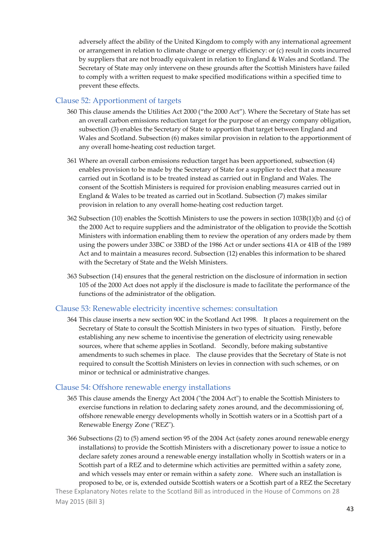adversely affect the ability of the United Kingdom to comply with any international agreement or arrangement in relation to climate change or energy efficiency: or (c) result in costs incurred by suppliers that are not broadly equivalent in relation to England & Wales and Scotland. The Secretary of State may only intervene on these grounds after the Scottish Ministers have failed to comply with a written request to make specified modifications within a specified time to prevent these effects.

#### Clause 52: Apportionment of targets

- 360 This clause amends the Utilities Act 2000 ("the 2000 Act"). Where the Secretary of State has set an overall carbon emissions reduction target for the purpose of an energy company obligation, subsection (3) enables the Secretary of State to apportion that target between England and Wales and Scotland. Subsection (6) makes similar provision in relation to the apportionment of any overall home‐heating cost reduction target.
- 361 Where an overall carbon emissions reduction target has been apportioned, subsection (4) enables provision to be made by the Secretary of State for a supplier to elect that a measure carried out in Scotland is to be treated instead as carried out in England and Wales. The consent of the Scottish Ministers is required for provision enabling measures carried out in England & Wales to be treated as carried out in Scotland. Subsection (7) makes similar provision in relation to any overall home‐heating cost reduction target.
- 362 Subsection (10) enables the Scottish Ministers to use the powers in section 103B(1)(b) and (c) of the 2000 Act to require suppliers and the administrator of the obligation to provide the Scottish Ministers with information enabling them to review the operation of any orders made by them using the powers under 33BC or 33BD of the 1986 Act or under sections 41A or 41B of the 1989 Act and to maintain a measures record. Subsection (12) enables this information to be shared with the Secretary of State and the Welsh Ministers.
- 363 Subsection (14) ensures that the general restriction on the disclosure of information in section 105 of the 2000 Act does not apply if the disclosure is made to facilitate the performance of the functions of the administrator of the obligation.

#### Clause 53: Renewable electricity incentive schemes: consultation

364 This clause inserts a new section 90C in the Scotland Act 1998. It places a requirement on the Secretary of State to consult the Scottish Ministers in two types of situation. Firstly, before establishing any new scheme to incentivise the generation of electricity using renewable sources, where that scheme applies in Scotland. Secondly, before making substantive amendments to such schemes in place. The clause provides that the Secretary of State is not required to consult the Scottish Ministers on levies in connection with such schemes, or on minor or technical or administrative changes.

#### Clause 54: Offshore renewable energy installations

- 365 This clause amends the Energy Act 2004 ("the 2004 Act") to enable the Scottish Ministers to exercise functions in relation to declaring safety zones around, and the decommissioning of, offshore renewable energy developments wholly in Scottish waters or in a Scottish part of a Renewable Energy Zone ("REZ").
- 366 Subsections (2) to (5) amend section 95 of the 2004 Act (safety zones around renewable energy installations) to provide the Scottish Ministers with a discretionary power to issue a notice to declare safety zones around a renewable energy installation wholly in Scottish waters or in a Scottish part of a REZ and to determine which activities are permitted within a safety zone, and which vessels may enter or remain within a safety zone. Where such an installation is proposed to be, or is, extended outside Scottish waters or a Scottish part of a REZ the Secretary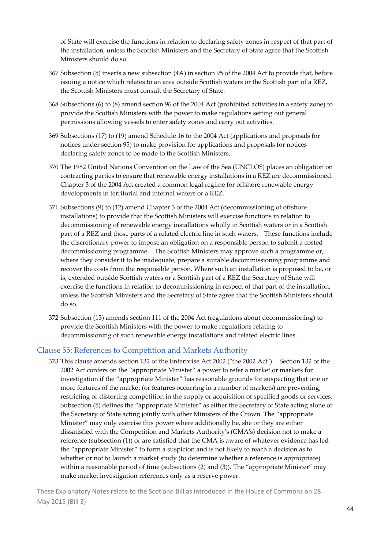of State will exercise the functions in relation to declaring safety zones in respect of that part of the installation, unless the Scottish Ministers and the Secretary of State agree that the Scottish Ministers should do so.

- 367 Subsection (5) inserts a new subsection (4A) in section 95 of the 2004 Act to provide that, before issuing a notice which relates to an area outside Scottish waters or the Scottish part of a REZ, the Scottish Ministers must consult the Secretary of State.
- 368 Subsections (6) to (8) amend section 96 of the 2004 Act (prohibited activities in a safety zone) to provide the Scottish Ministers with the power to make regulations setting out general permissions allowing vessels to enter safety zones and carry out activities.
- 369 Subsections (17) to (19) amend Schedule 16 to the 2004 Act (applications and proposals for notices under section 95) to make provision for applications and proposals for notices declaring safety zones to be made to the Scottish Ministers.
- 370 The 1982 United Nations Convention on the Law of the Sea (UNCLOS) places an obligation on contracting parties to ensure that renewable energy installations in a REZ are decommissioned. Chapter 3 of the 2004 Act created a common legal regime for offshore renewable energy developments in territorial and internal waters or a REZ.
- 371 Subsections (9) to (12) amend Chapter 3 of the 2004 Act (decommissioning of offshore installations) to provide that the Scottish Ministers will exercise functions in relation to decommissioning of renewable energy installations wholly in Scottish waters or in a Scottish part of a REZ and those parts of a related electric line in such waters. These functions include the discretionary power to impose an obligation on a responsible person to submit a costed decommissioning programme. The Scottish Ministers may approve such a programme or, where they consider it to be inadequate, prepare a suitable decommissioning programme and recover the costs from the responsible person. Where such an installation is proposed to be, or is, extended outside Scottish waters or a Scottish part of a REZ the Secretary of State will exercise the functions in relation to decommissioning in respect of that part of the installation, unless the Scottish Ministers and the Secretary of State agree that the Scottish Ministers should do so.
- 372 Subsection (13) amends section 111 of the 2004 Act (regulations about decommissioning) to provide the Scottish Ministers with the power to make regulations relating to decommissioning of such renewable energy installations and related electric lines.

#### Clause 55: References to Competition and Markets Authority

373 This clause amends section 132 of the Enterprise Act 2002 ("the 2002 Act"). Section 132 of the 2002 Act confers on the "appropriate Minister" a power to refer a market or markets for investigation if the "appropriate Minister" has reasonable grounds for suspecting that one or more features of the market (or features occurring in a number of markets) are preventing, restricting or distorting competition in the supply or acquisition of specified goods or services. Subsection (5) defines the "appropriate Minister" as either the Secretary of State acting alone or the Secretary of State acting jointly with other Ministers of the Crown. The "appropriate Minister" may only exercise this power where additionally he, she or they are either dissatisfied with the Competition and Markets Authorityʹs (CMAʹs) decision not to make a reference (subsection (1)) or are satisfied that the CMA is aware of whatever evidence has led the "appropriate Minister" to form a suspicion and is not likely to reach a decision as to whether or not to launch a market study (to determine whether a reference is appropriate) within a reasonable period of time (subsections (2) and (3)). The "appropriate Minister" may make market investigation references only as a reserve power.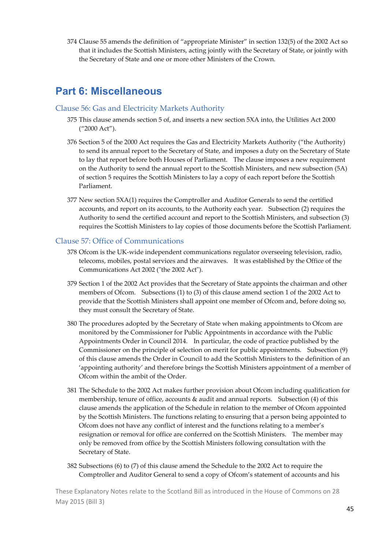374 Clause 55 amends the definition of "appropriate Minister" in section 132(5) of the 2002 Act so that it includes the Scottish Ministers, acting jointly with the Secretary of State, or jointly with the Secretary of State and one or more other Ministers of the Crown.

### **Part 6: Miscellaneous**

#### Clause 56: Gas and Electricity Markets Authority

- 375 This clause amends section 5 of, and inserts a new section 5XA into, the Utilities Act 2000 ("2000 Act").
- 376 Section 5 of the 2000 Act requires the Gas and Electricity Markets Authority ("the Authority) to send its annual report to the Secretary of State, and imposes a duty on the Secretary of State to lay that report before both Houses of Parliament. The clause imposes a new requirement on the Authority to send the annual report to the Scottish Ministers, and new subsection (5A) of section 5 requires the Scottish Ministers to lay a copy of each report before the Scottish Parliament.
- 377 New section 5XA(1) requires the Comptroller and Auditor Generals to send the certified accounts, and report on its accounts, to the Authority each year. Subsection (2) requires the Authority to send the certified account and report to the Scottish Ministers, and subsection (3) requires the Scottish Ministers to lay copies of those documents before the Scottish Parliament.

#### Clause 57: Office of Communications

- 378 Ofcom is the UK‐wide independent communications regulator overseeing television, radio, telecoms, mobiles, postal services and the airwaves. It was established by the Office of the Communications Act 2002 ("the 2002 Act").
- 379 Section 1 of the 2002 Act provides that the Secretary of State appoints the chairman and other members of Ofcom. Subsections (1) to (3) of this clause amend section 1 of the 2002 Act to provide that the Scottish Ministers shall appoint one member of Ofcom and, before doing so, they must consult the Secretary of State.
- 380 The procedures adopted by the Secretary of State when making appointments to Ofcom are monitored by the Commissioner for Public Appointments in accordance with the Public Appointments Order in Council 2014. In particular, the code of practice published by the Commissioner on the principle of selection on merit for public appointments. Subsection (9) of this clause amends the Order in Council to add the Scottish Ministers to the definition of an 'appointing authority' and therefore brings the Scottish Ministers appointment of a member of Ofcom within the ambit of the Order.
- 381 The Schedule to the 2002 Act makes further provision about Ofcom including qualification for membership, tenure of office, accounts & audit and annual reports. Subsection (4) of this clause amends the application of the Schedule in relation to the member of Ofcom appointed by the Scottish Ministers. The functions relating to ensuring that a person being appointed to Ofcom does not have any conflict of interest and the functions relating to a member's resignation or removal for office are conferred on the Scottish Ministers. The member may only be removed from office by the Scottish Ministers following consultation with the Secretary of State.
- 382 Subsections (6) to (7) of this clause amend the Schedule to the 2002 Act to require the Comptroller and Auditor General to send a copy of Ofcom's statement of accounts and his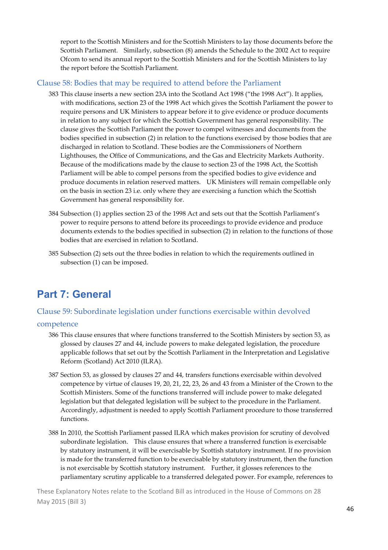report to the Scottish Ministers and for the Scottish Ministers to lay those documents before the Scottish Parliament. Similarly, subsection (8) amends the Schedule to the 2002 Act to require Ofcom to send its annual report to the Scottish Ministers and for the Scottish Ministers to lay the report before the Scottish Parliament.

#### Clause 58: Bodies that may be required to attend before the Parliament

- 383 This clause inserts a new section 23A into the Scotland Act 1998 ("the 1998 Act"). It applies, with modifications, section 23 of the 1998 Act which gives the Scottish Parliament the power to require persons and UK Ministers to appear before it to give evidence or produce documents in relation to any subject for which the Scottish Government has general responsibility. The clause gives the Scottish Parliament the power to compel witnesses and documents from the bodies specified in subsection (2) in relation to the functions exercised by those bodies that are discharged in relation to Scotland. These bodies are the Commissioners of Northern Lighthouses, the Office of Communications, and the Gas and Electricity Markets Authority. Because of the modifications made by the clause to section 23 of the 1998 Act, the Scottish Parliament will be able to compel persons from the specified bodies to give evidence and produce documents in relation reserved matters. UK Ministers will remain compellable only on the basis in section 23 i.e. only where they are exercising a function which the Scottish Government has general responsibility for.
- 384 Subsection (1) applies section 23 of the 1998 Act and sets out that the Scottish Parliament's power to require persons to attend before its proceedings to provide evidence and produce documents extends to the bodies specified in subsection (2) in relation to the functions of those bodies that are exercised in relation to Scotland.
- 385 Subsection (2) sets out the three bodies in relation to which the requirements outlined in subsection (1) can be imposed.

### **Part 7: General**

#### Clause 59: Subordinate legislation under functions exercisable within devolved

#### competence

- 386 This clause ensures that where functions transferred to the Scottish Ministers by section 53, as glossed by clauses 27 and 44, include powers to make delegated legislation, the procedure applicable follows that set out by the Scottish Parliament in the Interpretation and Legislative Reform (Scotland) Act 2010 (ILRA).
- 387 Section 53, as glossed by clauses 27 and 44, transfers functions exercisable within devolved competence by virtue of clauses 19, 20, 21, 22, 23, 26 and 43 from a Minister of the Crown to the Scottish Ministers. Some of the functions transferred will include power to make delegated legislation but that delegated legislation will be subject to the procedure in the Parliament. Accordingly, adjustment is needed to apply Scottish Parliament procedure to those transferred functions.
- 388 In 2010, the Scottish Parliament passed ILRA which makes provision for scrutiny of devolved subordinate legislation. This clause ensures that where a transferred function is exercisable by statutory instrument, it will be exercisable by Scottish statutory instrument. If no provision is made for the transferred function to be exercisable by statutory instrument, then the function is not exercisable by Scottish statutory instrument. Further, it glosses references to the parliamentary scrutiny applicable to a transferred delegated power. For example, references to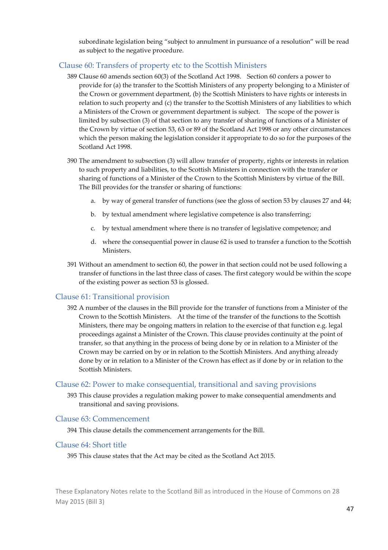subordinate legislation being "subject to annulment in pursuance of a resolution" will be read as subject to the negative procedure.

#### Clause 60: Transfers of property etc to the Scottish Ministers

- 389 Clause 60 amends section 60(3) of the Scotland Act 1998. Section 60 confers a power to provide for (a) the transfer to the Scottish Ministers of any property belonging to a Minister of the Crown or government department, (b) the Scottish Ministers to have rights or interests in relation to such property and (c) the transfer to the Scottish Ministers of any liabilities to which a Ministers of the Crown or government department is subject. The scope of the power is limited by subsection (3) of that section to any transfer of sharing of functions of a Minister of the Crown by virtue of section 53, 63 or 89 of the Scotland Act 1998 or any other circumstances which the person making the legislation consider it appropriate to do so for the purposes of the Scotland Act 1998.
- 390 The amendment to subsection (3) will allow transfer of property, rights or interests in relation to such property and liabilities, to the Scottish Ministers in connection with the transfer or sharing of functions of a Minister of the Crown to the Scottish Ministers by virtue of the Bill. The Bill provides for the transfer or sharing of functions:
	- a. by way of general transfer of functions (see the gloss of section 53 by clauses 27 and 44;
	- b. by textual amendment where legislative competence is also transferring;
	- c. by textual amendment where there is no transfer of legislative competence; and
	- d. where the consequential power in clause 62 is used to transfer a function to the Scottish Ministers.
- 391 Without an amendment to section 60, the power in that section could not be used following a transfer of functions in the last three class of cases. The first category would be within the scope of the existing power as section 53 is glossed.

#### Clause 61: Transitional provision

392 A number of the clauses in the Bill provide for the transfer of functions from a Minister of the Crown to the Scottish Ministers. At the time of the transfer of the functions to the Scottish Ministers, there may be ongoing matters in relation to the exercise of that function e.g. legal proceedings against a Minister of the Crown. This clause provides continuity at the point of transfer, so that anything in the process of being done by or in relation to a Minister of the Crown may be carried on by or in relation to the Scottish Ministers. And anything already done by or in relation to a Minister of the Crown has effect as if done by or in relation to the Scottish Ministers.

#### Clause 62: Power to make consequential, transitional and saving provisions

393 This clause provides a regulation making power to make consequential amendments and transitional and saving provisions.

#### Clause 63: Commencement

394 This clause details the commencement arrangements for the Bill.

#### Clause 64: Short title

395 This clause states that the Act may be cited as the Scotland Act 2015.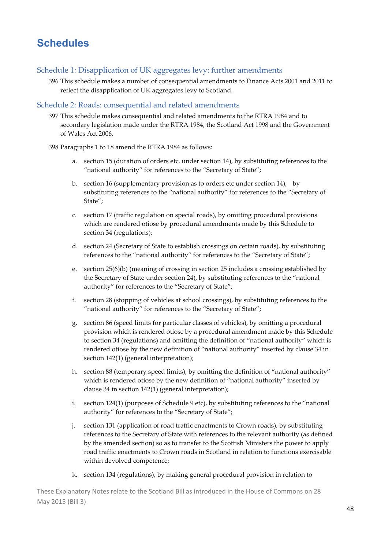## **Schedules**

#### Schedule 1: Disapplication of UK aggregates levy: further amendments

396 This schedule makes a number of consequential amendments to Finance Acts 2001 and 2011 to reflect the disapplication of UK aggregates levy to Scotland.

#### Schedule 2: Roads: consequential and related amendments

397 This schedule makes consequential and related amendments to the RTRA 1984 and to secondary legislation made under the RTRA 1984, the Scotland Act 1998 and the Government of Wales Act 2006.

398 Paragraphs 1 to 18 amend the RTRA 1984 as follows:

- a. section 15 (duration of orders etc. under section 14), by substituting references to the "national authority" for references to the "Secretary of State";
- b. section 16 (supplementary provision as to orders etc under section 14), by substituting references to the "national authority" for references to the "Secretary of State";
- c. section 17 (traffic regulation on special roads), by omitting procedural provisions which are rendered otiose by procedural amendments made by this Schedule to section 34 (regulations);
- d. section 24 (Secretary of State to establish crossings on certain roads), by substituting references to the "national authority" for references to the "Secretary of State";
- e. section 25(6)(b) (meaning of crossing in section 25 includes a crossing established by the Secretary of State under section 24), by substituting references to the "national authority" for references to the "Secretary of State";
- f. section 28 (stopping of vehicles at school crossings), by substituting references to the "national authority" for references to the "Secretary of State";
- g. section 86 (speed limits for particular classes of vehicles), by omitting a procedural provision which is rendered otiose by a procedural amendment made by this Schedule to section 34 (regulations) and omitting the definition of "national authority" which is rendered otiose by the new definition of "national authority" inserted by clause 34 in section 142(1) (general interpretation);
- h. section 88 (temporary speed limits), by omitting the definition of "national authority" which is rendered otiose by the new definition of "national authority" inserted by clause 34 in section 142(1) (general interpretation);
- i. section 124(1) (purposes of Schedule 9 etc), by substituting references to the "national authority" for references to the "Secretary of State";
- j. section 131 (application of road traffic enactments to Crown roads), by substituting references to the Secretary of State with references to the relevant authority (as defined by the amended section) so as to transfer to the Scottish Ministers the power to apply road traffic enactments to Crown roads in Scotland in relation to functions exercisable within devolved competence;
- k. section 134 (regulations), by making general procedural provision in relation to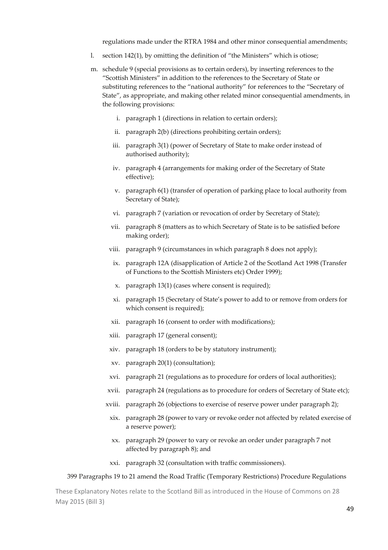regulations made under the RTRA 1984 and other minor consequential amendments;

- l. section 142(1), by omitting the definition of "the Ministers" which is otiose;
- m. schedule 9 (special provisions as to certain orders), by inserting references to the "Scottish Ministers" in addition to the references to the Secretary of State or substituting references to the "national authority" for references to the "Secretary of State", as appropriate, and making other related minor consequential amendments, in the following provisions:
	- i. paragraph 1 (directions in relation to certain orders);
	- ii. paragraph 2(b) (directions prohibiting certain orders);
	- iii. paragraph 3(1) (power of Secretary of State to make order instead of authorised authority);
	- iv. paragraph 4 (arrangements for making order of the Secretary of State effective);
	- v. paragraph 6(1) (transfer of operation of parking place to local authority from Secretary of State);
	- vi. paragraph 7 (variation or revocation of order by Secretary of State);
	- vii. paragraph 8 (matters as to which Secretary of State is to be satisfied before making order);
	- viii. paragraph 9 (circumstances in which paragraph 8 does not apply);
		- ix. paragraph 12A (disapplication of Article 2 of the Scotland Act 1998 (Transfer of Functions to the Scottish Ministers etc) Order 1999);
		- x. paragraph 13(1) (cases where consent is required);
		- xi. paragraph 15 (Secretary of State's power to add to or remove from orders for which consent is required);
	- xii. paragraph 16 (consent to order with modifications);
	- xiii. paragraph 17 (general consent);
	- xiv. paragraph 18 (orders to be by statutory instrument);
	- xv. paragraph 20(1) (consultation);
	- xvi. paragraph 21 (regulations as to procedure for orders of local authorities);
	- xvii. paragraph 24 (regulations as to procedure for orders of Secretary of State etc);
	- xviii. paragraph 26 (objections to exercise of reserve power under paragraph 2);
		- xix. paragraph 28 (power to vary or revoke order not affected by related exercise of a reserve power);
		- xx. paragraph 29 (power to vary or revoke an order under paragraph 7 not affected by paragraph 8); and
		- xxi. paragraph 32 (consultation with traffic commissioners).

#### 399 Paragraphs 19 to 21 amend the Road Traffic (Temporary Restrictions) Procedure Regulations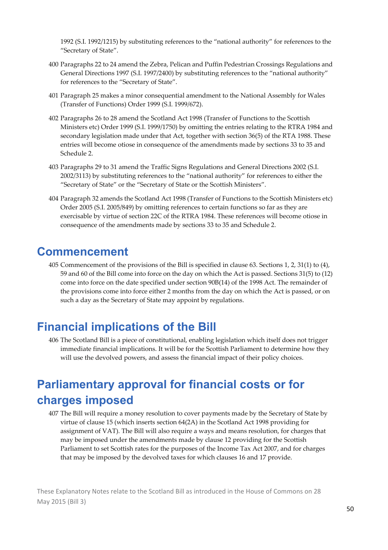1992 (S.I. 1992/1215) by substituting references to the "national authority" for references to the "Secretary of State".

- 400 Paragraphs 22 to 24 amend the Zebra, Pelican and Puffin Pedestrian Crossings Regulations and General Directions 1997 (S.I. 1997/2400) by substituting references to the "national authority" for references to the "Secretary of State".
- 401 Paragraph 25 makes a minor consequential amendment to the National Assembly for Wales (Transfer of Functions) Order 1999 (S.I. 1999/672).
- 402 Paragraphs 26 to 28 amend the Scotland Act 1998 (Transfer of Functions to the Scottish Ministers etc) Order 1999 (S.I. 1999/1750) by omitting the entries relating to the RTRA 1984 and secondary legislation made under that Act, together with section 36(5) of the RTA 1988. These entries will become otiose in consequence of the amendments made by sections 33 to 35 and Schedule 2.
- 403 Paragraphs 29 to 31 amend the Traffic Signs Regulations and General Directions 2002 (S.I. 2002/3113) by substituting references to the "national authority" for references to either the "Secretary of State" or the "Secretary of State or the Scottish Ministers".
- 404 Paragraph 32 amends the Scotland Act 1998 (Transfer of Functions to the Scottish Ministers etc) Order 2005 (S.I. 2005/849) by omitting references to certain functions so far as they are exercisable by virtue of section 22C of the RTRA 1984. These references will become otiose in consequence of the amendments made by sections 33 to 35 and Schedule 2.

### **Commencement**

405 Commencement of the provisions of the Bill is specified in clause 63. Sections 1, 2, 31(1) to (4), 59 and 60 of the Bill come into force on the day on which the Act is passed. Sections 31(5) to (12) come into force on the date specified under section 90B(14) of the 1998 Act. The remainder of the provisions come into force either 2 months from the day on which the Act is passed, or on such a day as the Secretary of State may appoint by regulations.

### **Financial implications of the Bill**

406 The Scotland Bill is a piece of constitutional, enabling legislation which itself does not trigger immediate financial implications. It will be for the Scottish Parliament to determine how they will use the devolved powers, and assess the financial impact of their policy choices.

## **Parliamentary approval for financial costs or for charges imposed**

407 The Bill will require a money resolution to cover payments made by the Secretary of State by virtue of clause 15 (which inserts section 64(2A) in the Scotland Act 1998 providing for assignment of VAT). The Bill will also require a ways and means resolution, for charges that may be imposed under the amendments made by clause 12 providing for the Scottish Parliament to set Scottish rates for the purposes of the Income Tax Act 2007, and for charges that may be imposed by the devolved taxes for which clauses 16 and 17 provide.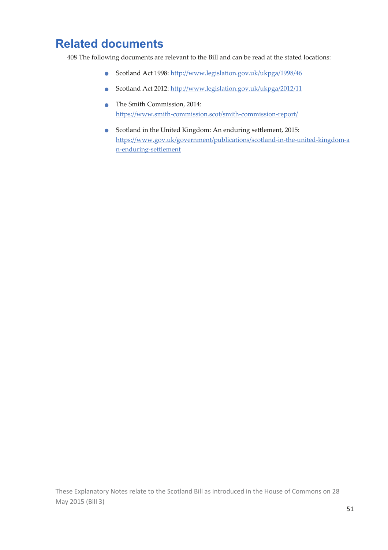## **Related documents**

408 The following documents are relevant to the Bill and can be read at the stated locations:

- Scotland Act 1998: http://www.legislation.gov.uk/ukpga/1998/46
- Scotland Act 2012: http://www.legislation.gov.uk/ukpga/2012/11
- The Smith Commission, 2014: https://www.smith‐commission.scot/smith‐commission‐report/
- Scotland in the United Kingdom: An enduring settlement, 2015: https://www.gov.uk/government/publications/scotland‐in‐the‐united‐kingdom‐a n‐enduring‐settlement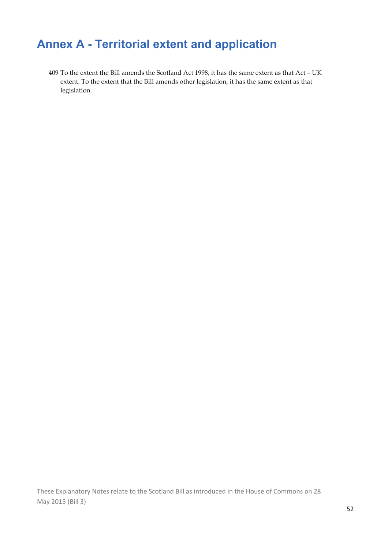## **Annex A - Territorial extent and application**

409 To the extent the Bill amends the Scotland Act 1998, it has the same extent as that Act – UK extent. To the extent that the Bill amends other legislation, it has the same extent as that legislation.